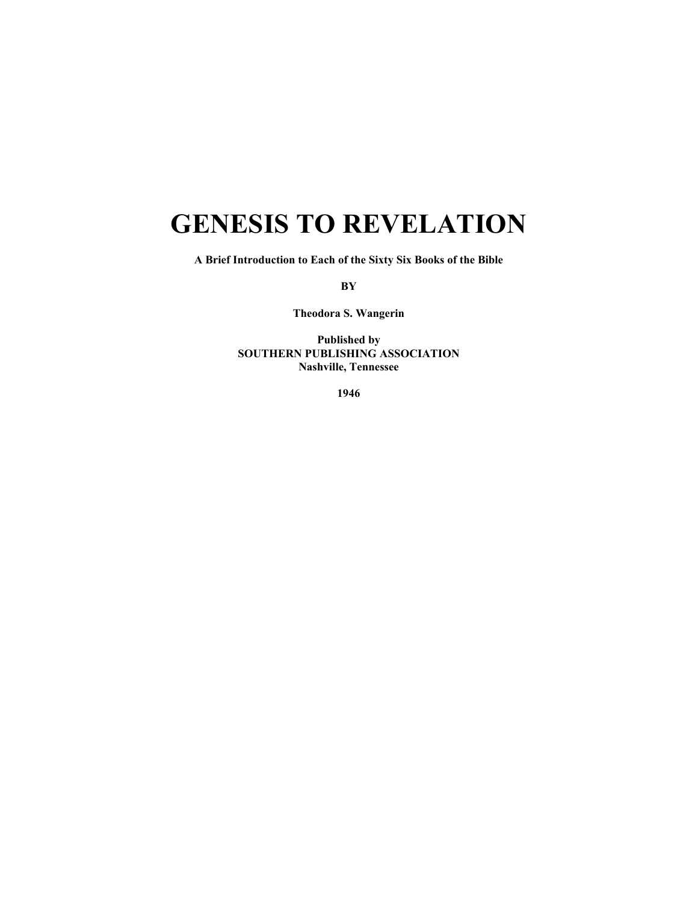# **GENESIS TO REVELATION**

**A Brief Introduction to Each of the Sixty Six Books of the Bible** 

**BY** 

**Theodora S. Wangerin** 

**Published by SOUTHERN PUBLISHING ASSOCIATION Nashville, Tennessee** 

**1946**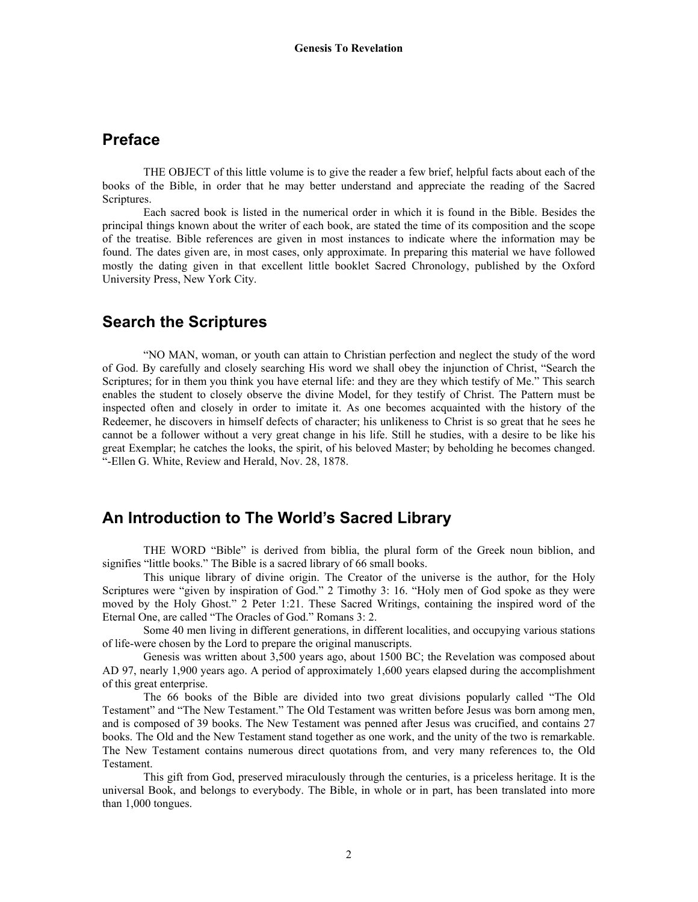# **Preface**

 THE OBJECT of this little volume is to give the reader a few brief, helpful facts about each of the books of the Bible, in order that he may better understand and appreciate the reading of the Sacred Scriptures.

 Each sacred book is listed in the numerical order in which it is found in the Bible. Besides the principal things known about the writer of each book, are stated the time of its composition and the scope of the treatise. Bible references are given in most instances to indicate where the information may be found. The dates given are, in most cases, only approximate. In preparing this material we have followed mostly the dating given in that excellent little booklet Sacred Chronology, published by the Oxford University Press, New York City.

### **Search the Scriptures**

 "NO MAN, woman, or youth can attain to Christian perfection and neglect the study of the word of God. By carefully and closely searching His word we shall obey the injunction of Christ, "Search the Scriptures; for in them you think you have eternal life: and they are they which testify of Me." This search enables the student to closely observe the divine Model, for they testify of Christ. The Pattern must be inspected often and closely in order to imitate it. As one becomes acquainted with the history of the Redeemer, he discovers in himself defects of character; his unlikeness to Christ is so great that he sees he cannot be a follower without a very great change in his life. Still he studies, with a desire to be like his great Exemplar; he catches the looks, the spirit, of his beloved Master; by beholding he becomes changed. "-Ellen G. White, Review and Herald, Nov. 28, 1878.

# **An Introduction to The World's Sacred Library**

THE WORD "Bible" is derived from biblia, the plural form of the Greek noun biblion, and signifies "little books." The Bible is a sacred library of 66 small books.

 This unique library of divine origin. The Creator of the universe is the author, for the Holy Scriptures were "given by inspiration of God." 2 Timothy 3: 16. "Holy men of God spoke as they were moved by the Holy Ghost." 2 Peter 1:21. These Sacred Writings, containing the inspired word of the Eternal One, are called "The Oracles of God." Romans 3: 2.

 Some 40 men living in different generations, in different localities, and occupying various stations of life-were chosen by the Lord to prepare the original manuscripts.

 Genesis was written about 3,500 years ago, about 1500 BC; the Revelation was composed about AD 97, nearly 1,900 years ago. A period of approximately 1,600 years elapsed during the accomplishment of this great enterprise.

 The 66 books of the Bible are divided into two great divisions popularly called "The Old Testament" and "The New Testament." The Old Testament was written before Jesus was born among men, and is composed of 39 books. The New Testament was penned after Jesus was crucified, and contains 27 books. The Old and the New Testament stand together as one work, and the unity of the two is remarkable. The New Testament contains numerous direct quotations from, and very many references to, the Old Testament.

 This gift from God, preserved miraculously through the centuries, is a priceless heritage. It is the universal Book, and belongs to everybody. The Bible, in whole or in part, has been translated into more than 1,000 tongues.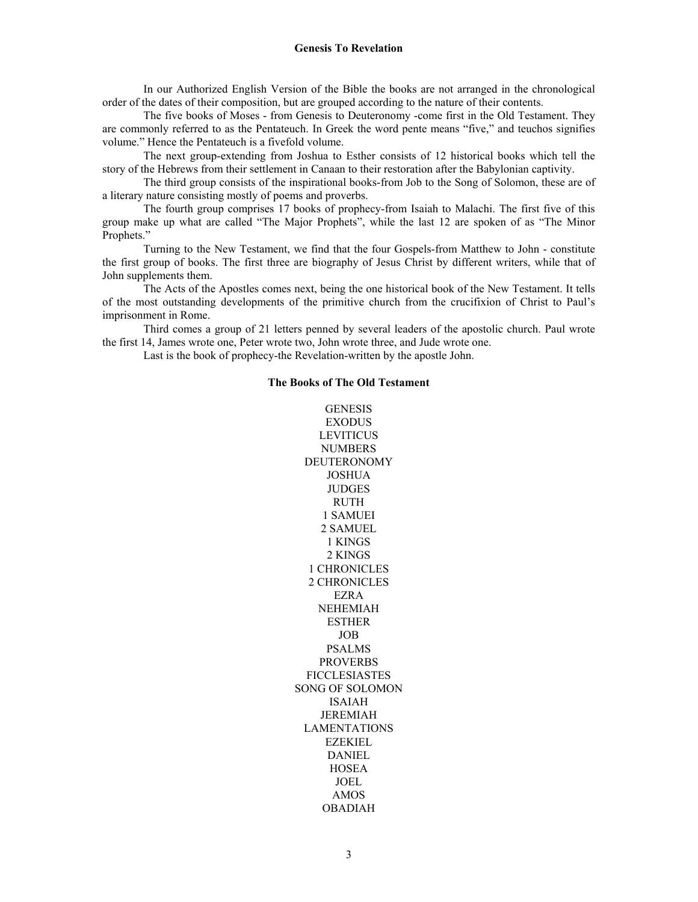In our Authorized English Version of the Bible the books are not arranged in the chronological order of the dates of their composition, but are grouped according to the nature of their contents.

 The five books of Moses - from Genesis to Deuteronomy -come first in the Old Testament. They are commonly referred to as the Pentateuch. In Greek the word pente means "five," and teuchos signifies volume." Hence the Pentateuch is a fivefold volume.

 The next group-extending from Joshua to Esther consists of 12 historical books which tell the story of the Hebrews from their settlement in Canaan to their restoration after the Babylonian captivity.

 The third group consists of the inspirational books-from Job to the Song of Solomon, these are of a literary nature consisting mostly of poems and proverbs.

 The fourth group comprises 17 books of prophecy-from Isaiah to Malachi. The first five of this group make up what are called "The Major Prophets", while the last 12 are spoken of as "The Minor Prophets."

Turning to the New Testament, we find that the four Gospels-from Matthew to John - constitute the first group of books. The first three are biography of Jesus Christ by different writers, while that of John supplements them.

 The Acts of the Apostles comes next, being the one historical book of the New Testament. It tells of the most outstanding developments of the primitive church from the crucifixion of Christ to Paul's imprisonment in Rome.

 Third comes a group of 21 letters penned by several leaders of the apostolic church. Paul wrote the first 14, James wrote one, Peter wrote two, John wrote three, and Jude wrote one.

Last is the book of prophecy-the Revelation-written by the apostle John.

#### **The Books of The Old Testament**

GENESIS EXODUS **LEVITICUS NUMBERS** DEUTERONOMY JOSHUA JUDGES RUTH 1 SAMUEI 2 SAMUEL 1 KINGS 2 KINGS 1 CHRONICLES 2 CHRONICLES EZRA NEHEMIAH ESTHER JOB PSALMS PROVERBS FICCLESIASTES SONG OF SOLOMON ISAIAH JEREMIAH LAMENTATIONS EZEKIEL DANIEL **HOSEA** JOEL AMOS OBADIAH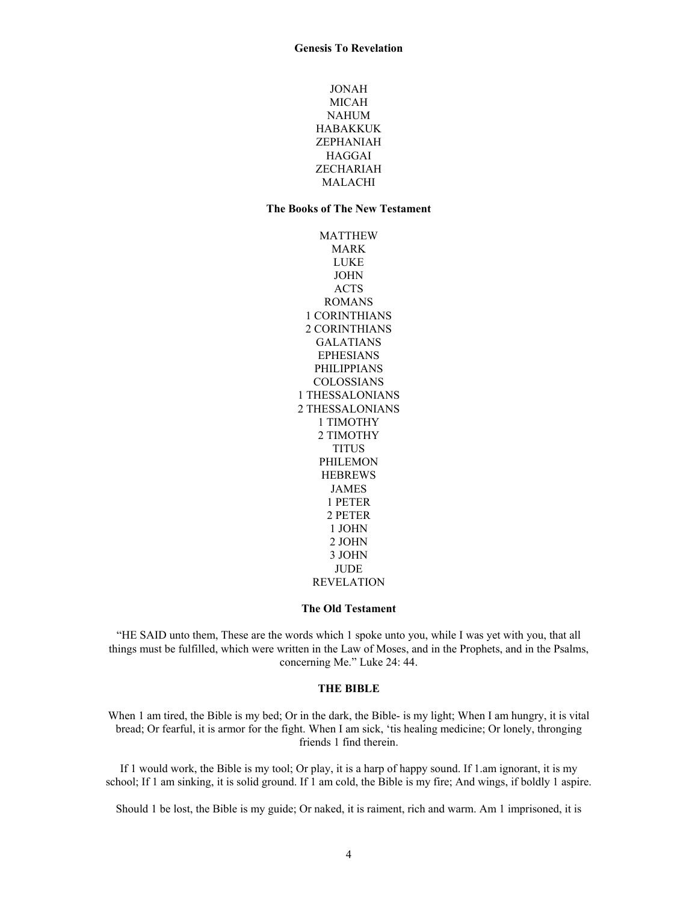JONAH MICAH NAHUM HABAKKUK ZEPHANIAH HAGGAI ZECHARIAH MALACHI

#### **The Books of The New Testament**

MATTHEW MARK LUKE JOHN ACTS ROMANS 1 CORINTHIANS 2 CORINTHIANS GALATIANS EPHESIANS PHILIPPIANS COLOSSIANS 1 THESSALONIANS 2 THESSALONIANS 1 TIMOTHY 2 TIMOTHY **TITUS** PHILEMON **HEBREWS** JAMES 1 PETER 2 PETER 1 JOHN 2 JOHN 3 JOHN **JUDE** REVELATION

#### **The Old Testament**

"HE SAID unto them, These are the words which 1 spoke unto you, while I was yet with you, that all things must be fulfilled, which were written in the Law of Moses, and in the Prophets, and in the Psalms, concerning Me." Luke 24: 44.

#### **THE BIBLE**

When 1 am tired, the Bible is my bed; Or in the dark, the Bible- is my light; When I am hungry, it is vital bread; Or fearful, it is armor for the fight. When I am sick, 'tis healing medicine; Or lonely, thronging friends 1 find therein.

If 1 would work, the Bible is my tool; Or play, it is a harp of happy sound. If 1.am ignorant, it is my school; If 1 am sinking, it is solid ground. If 1 am cold, the Bible is my fire; And wings, if boldly 1 aspire.

Should 1 be lost, the Bible is my guide; Or naked, it is raiment, rich and warm. Am 1 imprisoned, it is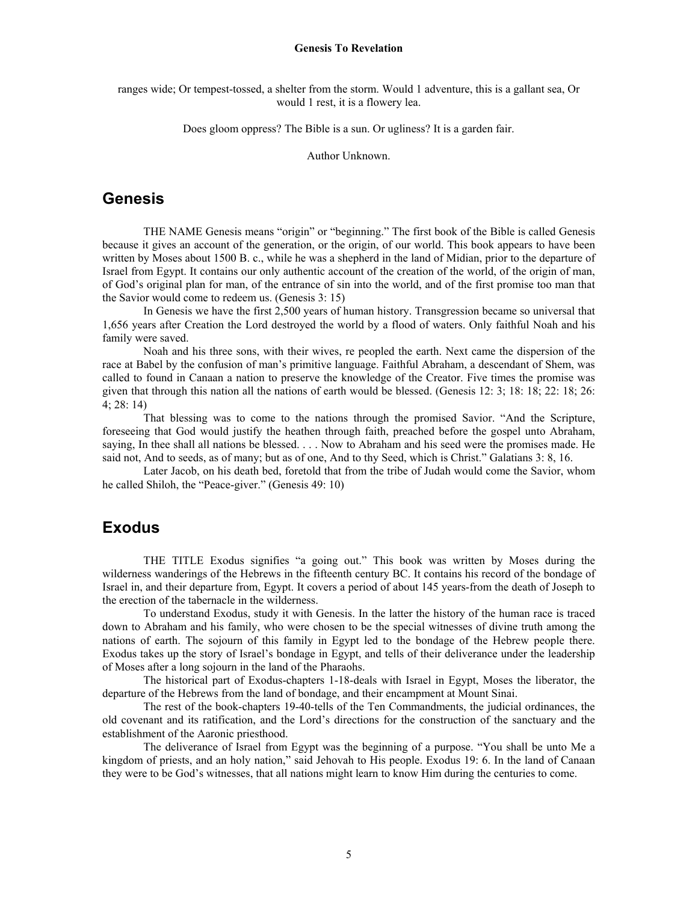ranges wide; Or tempest-tossed, a shelter from the storm. Would 1 adventure, this is a gallant sea, Or would 1 rest, it is a flowery lea.

Does gloom oppress? The Bible is a sun. Or ugliness? It is a garden fair.

Author Unknown.

### **Genesis**

THE NAME Genesis means "origin" or "beginning." The first book of the Bible is called Genesis because it gives an account of the generation, or the origin, of our world. This book appears to have been written by Moses about 1500 B. c., while he was a shepherd in the land of Midian, prior to the departure of Israel from Egypt. It contains our only authentic account of the creation of the world, of the origin of man, of God's original plan for man, of the entrance of sin into the world, and of the first promise too man that the Savior would come to redeem us. (Genesis 3: 15)

 In Genesis we have the first 2,500 years of human history. Transgression became so universal that 1,656 years after Creation the Lord destroyed the world by a flood of waters. Only faithful Noah and his family were saved.

 Noah and his three sons, with their wives, re peopled the earth. Next came the dispersion of the race at Babel by the confusion of man's primitive language. Faithful Abraham, a descendant of Shem, was called to found in Canaan a nation to preserve the knowledge of the Creator. Five times the promise was given that through this nation all the nations of earth would be blessed. (Genesis 12: 3; 18: 18; 22: 18; 26: 4; 28: 14)

 That blessing was to come to the nations through the promised Savior. "And the Scripture, foreseeing that God would justify the heathen through faith, preached before the gospel unto Abraham, saying, In thee shall all nations be blessed. . . . Now to Abraham and his seed were the promises made. He said not, And to seeds, as of many; but as of one, And to thy Seed, which is Christ." Galatians 3: 8, 16.

 Later Jacob, on his death bed, foretold that from the tribe of Judah would come the Savior, whom he called Shiloh, the "Peace-giver." (Genesis 49: 10)

# **Exodus**

THE TITLE Exodus signifies "a going out." This book was written by Moses during the wilderness wanderings of the Hebrews in the fifteenth century BC. It contains his record of the bondage of Israel in, and their departure from, Egypt. It covers a period of about 145 years-from the death of Joseph to the erection of the tabernacle in the wilderness.

 To understand Exodus, study it with Genesis. In the latter the history of the human race is traced down to Abraham and his family, who were chosen to be the special witnesses of divine truth among the nations of earth. The sojourn of this family in Egypt led to the bondage of the Hebrew people there. Exodus takes up the story of Israel's bondage in Egypt, and tells of their deliverance under the leadership of Moses after a long sojourn in the land of the Pharaohs.

 The historical part of Exodus-chapters 1-18-deals with Israel in Egypt, Moses the liberator, the departure of the Hebrews from the land of bondage, and their encampment at Mount Sinai.

 The rest of the book-chapters 19-40-tells of the Ten Commandments, the judicial ordinances, the old covenant and its ratification, and the Lord's directions for the construction of the sanctuary and the establishment of the Aaronic priesthood.

 The deliverance of Israel from Egypt was the beginning of a purpose. "You shall be unto Me a kingdom of priests, and an holy nation," said Jehovah to His people. Exodus 19: 6. In the land of Canaan they were to be God's witnesses, that all nations might learn to know Him during the centuries to come.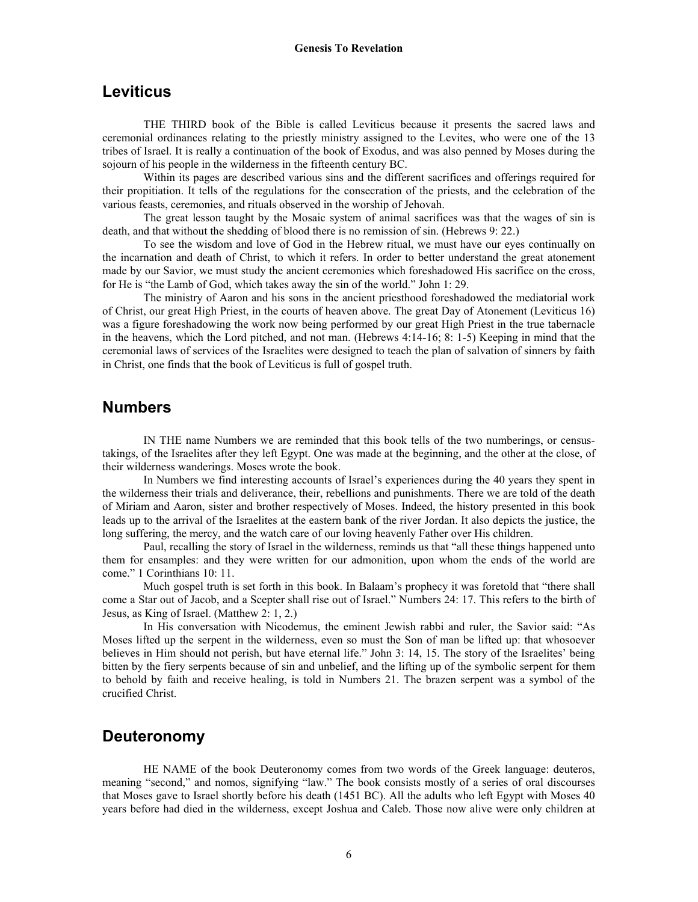#### **Leviticus**

THE THIRD book of the Bible is called Leviticus because it presents the sacred laws and ceremonial ordinances relating to the priestly ministry assigned to the Levites, who were one of the 13 tribes of Israel. It is really a continuation of the book of Exodus, and was also penned by Moses during the sojourn of his people in the wilderness in the fifteenth century BC.

 Within its pages are described various sins and the different sacrifices and offerings required for their propitiation. It tells of the regulations for the consecration of the priests, and the celebration of the various feasts, ceremonies, and rituals observed in the worship of Jehovah.

 The great lesson taught by the Mosaic system of animal sacrifices was that the wages of sin is death, and that without the shedding of blood there is no remission of sin. (Hebrews 9: 22.)

 To see the wisdom and love of God in the Hebrew ritual, we must have our eyes continually on the incarnation and death of Christ, to which it refers. In order to better understand the great atonement made by our Savior, we must study the ancient ceremonies which foreshadowed His sacrifice on the cross, for He is "the Lamb of God, which takes away the sin of the world." John 1: 29.

 The ministry of Aaron and his sons in the ancient priesthood foreshadowed the mediatorial work of Christ, our great High Priest, in the courts of heaven above. The great Day of Atonement (Leviticus 16) was a figure foreshadowing the work now being performed by our great High Priest in the true tabernacle in the heavens, which the Lord pitched, and not man. (Hebrews 4:14-16; 8: 1-5) Keeping in mind that the ceremonial laws of services of the Israelites were designed to teach the plan of salvation of sinners by faith in Christ, one finds that the book of Leviticus is full of gospel truth.

#### **Numbers**

IN THE name Numbers we are reminded that this book tells of the two numberings, or censustakings, of the Israelites after they left Egypt. One was made at the beginning, and the other at the close, of their wilderness wanderings. Moses wrote the book.

 In Numbers we find interesting accounts of Israel's experiences during the 40 years they spent in the wilderness their trials and deliverance, their, rebellions and punishments. There we are told of the death of Miriam and Aaron, sister and brother respectively of Moses. Indeed, the history presented in this book leads up to the arrival of the Israelites at the eastern bank of the river Jordan. It also depicts the justice, the long suffering, the mercy, and the watch care of our loving heavenly Father over His children.

 Paul, recalling the story of Israel in the wilderness, reminds us that "all these things happened unto them for ensamples: and they were written for our admonition, upon whom the ends of the world are come." 1 Corinthians 10: 11.

 Much gospel truth is set forth in this book. In Balaam's prophecy it was foretold that "there shall come a Star out of Jacob, and a Scepter shall rise out of Israel." Numbers 24: 17. This refers to the birth of Jesus, as King of Israel. (Matthew 2: 1, 2.)

 In His conversation with Nicodemus, the eminent Jewish rabbi and ruler, the Savior said: "As Moses lifted up the serpent in the wilderness, even so must the Son of man be lifted up: that whosoever believes in Him should not perish, but have eternal life." John 3: 14, 15. The story of the Israelites' being bitten by the fiery serpents because of sin and unbelief, and the lifting up of the symbolic serpent for them to behold by faith and receive healing, is told in Numbers 21. The brazen serpent was a symbol of the crucified Christ.

#### **Deuteronomy**

 HE NAME of the book Deuteronomy comes from two words of the Greek language: deuteros, meaning "second," and nomos, signifying "law." The book consists mostly of a series of oral discourses that Moses gave to Israel shortly before his death (1451 BC). All the adults who left Egypt with Moses 40 years before had died in the wilderness, except Joshua and Caleb. Those now alive were only children at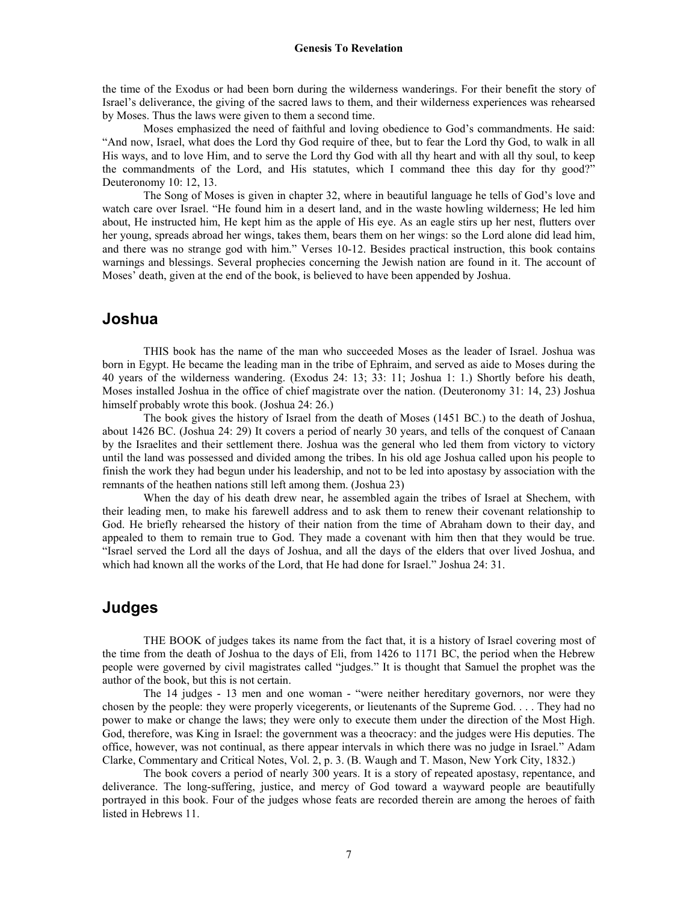the time of the Exodus or had been born during the wilderness wanderings. For their benefit the story of Israel's deliverance, the giving of the sacred laws to them, and their wilderness experiences was rehearsed by Moses. Thus the laws were given to them a second time.

 Moses emphasized the need of faithful and loving obedience to God's commandments. He said: "And now, Israel, what does the Lord thy God require of thee, but to fear the Lord thy God, to walk in all His ways, and to love Him, and to serve the Lord thy God with all thy heart and with all thy soul, to keep the commandments of the Lord, and His statutes, which I command thee this day for thy good?" Deuteronomy 10: 12, 13.

 The Song of Moses is given in chapter 32, where in beautiful language he tells of God's love and watch care over Israel. "He found him in a desert land, and in the waste howling wilderness; He led him about, He instructed him, He kept him as the apple of His eye. As an eagle stirs up her nest, flutters over her young, spreads abroad her wings, takes them, bears them on her wings: so the Lord alone did lead him, and there was no strange god with him." Verses 10-12. Besides practical instruction, this book contains warnings and blessings. Several prophecies concerning the Jewish nation are found in it. The account of Moses' death, given at the end of the book, is believed to have been appended by Joshua.

## **Joshua**

THIS book has the name of the man who succeeded Moses as the leader of Israel. Joshua was born in Egypt. He became the leading man in the tribe of Ephraim, and served as aide to Moses during the 40 years of the wilderness wandering. (Exodus 24: 13; 33: 11; Joshua 1: 1.) Shortly before his death, Moses installed Joshua in the office of chief magistrate over the nation. (Deuteronomy 31: 14, 23) Joshua himself probably wrote this book. (Joshua 24: 26.)

 The book gives the history of Israel from the death of Moses (1451 BC.) to the death of Joshua, about 1426 BC. (Joshua 24: 29) It covers a period of nearly 30 years, and tells of the conquest of Canaan by the Israelites and their settlement there. Joshua was the general who led them from victory to victory until the land was possessed and divided among the tribes. In his old age Joshua called upon his people to finish the work they had begun under his leadership, and not to be led into apostasy by association with the remnants of the heathen nations still left among them. (Joshua 23)

 When the day of his death drew near, he assembled again the tribes of Israel at Shechem, with their leading men, to make his farewell address and to ask them to renew their covenant relationship to God. He briefly rehearsed the history of their nation from the time of Abraham down to their day, and appealed to them to remain true to God. They made a covenant with him then that they would be true. "Israel served the Lord all the days of Joshua, and all the days of the elders that over lived Joshua, and which had known all the works of the Lord, that He had done for Israel." Joshua 24: 31.

## **Judges**

THE BOOK of judges takes its name from the fact that, it is a history of Israel covering most of the time from the death of Joshua to the days of Eli, from 1426 to 1171 BC, the period when the Hebrew people were governed by civil magistrates called "judges." It is thought that Samuel the prophet was the author of the book, but this is not certain.

The 14 judges - 13 men and one woman - "were neither hereditary governors, nor were they chosen by the people: they were properly vicegerents, or lieutenants of the Supreme God. . . . They had no power to make or change the laws; they were only to execute them under the direction of the Most High. God, therefore, was King in Israel: the government was a theocracy: and the judges were His deputies. The office, however, was not continual, as there appear intervals in which there was no judge in Israel." Adam Clarke, Commentary and Critical Notes, Vol. 2, p. 3. (B. Waugh and T. Mason, New York City, 1832.)

 The book covers a period of nearly 300 years. It is a story of repeated apostasy, repentance, and deliverance. The long-suffering, justice, and mercy of God toward a wayward people are beautifully portrayed in this book. Four of the judges whose feats are recorded therein are among the heroes of faith listed in Hebrews 11.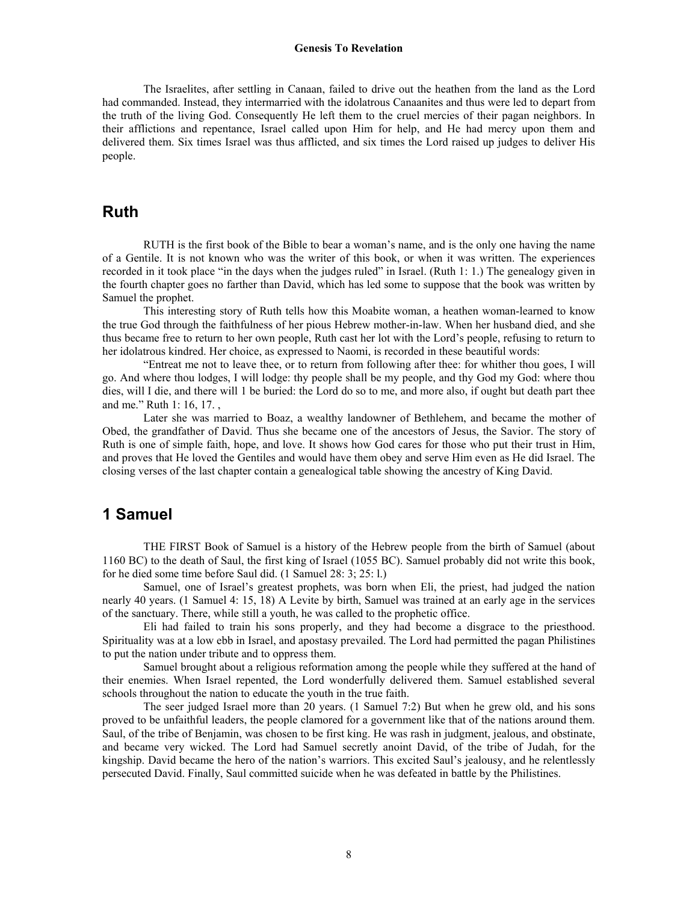#### **Genesis To Revelation**

 The Israelites, after settling in Canaan, failed to drive out the heathen from the land as the Lord had commanded. Instead, they intermarried with the idolatrous Canaanites and thus were led to depart from the truth of the living God. Consequently He left them to the cruel mercies of their pagan neighbors. In their afflictions and repentance, Israel called upon Him for help, and He had mercy upon them and delivered them. Six times Israel was thus afflicted, and six times the Lord raised up judges to deliver His people.

#### **Ruth**

 RUTH is the first book of the Bible to bear a woman's name, and is the only one having the name of a Gentile. It is not known who was the writer of this book, or when it was written. The experiences recorded in it took place "in the days when the judges ruled" in Israel. (Ruth 1: 1.) The genealogy given in the fourth chapter goes no farther than David, which has led some to suppose that the book was written by Samuel the prophet.

 This interesting story of Ruth tells how this Moabite woman, a heathen woman-learned to know the true God through the faithfulness of her pious Hebrew mother-in-law. When her husband died, and she thus became free to return to her own people, Ruth cast her lot with the Lord's people, refusing to return to her idolatrous kindred. Her choice, as expressed to Naomi, is recorded in these beautiful words:

 "Entreat me not to leave thee, or to return from following after thee: for whither thou goes, I will go. And where thou lodges, I will lodge: thy people shall be my people, and thy God my God: where thou dies, will I die, and there will 1 be buried: the Lord do so to me, and more also, if ought but death part thee and me." Ruth 1: 16, 17. ,

 Later she was married to Boaz, a wealthy landowner of Bethlehem, and became the mother of Obed, the grandfather of David. Thus she became one of the ancestors of Jesus, the Savior. The story of Ruth is one of simple faith, hope, and love. It shows how God cares for those who put their trust in Him, and proves that He loved the Gentiles and would have them obey and serve Him even as He did Israel. The closing verses of the last chapter contain a genealogical table showing the ancestry of King David.

# **1 Samuel**

THE FIRST Book of Samuel is a history of the Hebrew people from the birth of Samuel (about 1160 BC) to the death of Saul, the first king of Israel (1055 BC). Samuel probably did not write this book, for he died some time before Saul did. (1 Samuel 28: 3; 25: l.)

 Samuel, one of Israel's greatest prophets, was born when Eli, the priest, had judged the nation nearly 40 years. (1 Samuel 4: 15, 18) A Levite by birth, Samuel was trained at an early age in the services of the sanctuary. There, while still a youth, he was called to the prophetic office.

 Eli had failed to train his sons properly, and they had become a disgrace to the priesthood. Spirituality was at a low ebb in Israel, and apostasy prevailed. The Lord had permitted the pagan Philistines to put the nation under tribute and to oppress them.

 Samuel brought about a religious reformation among the people while they suffered at the hand of their enemies. When Israel repented, the Lord wonderfully delivered them. Samuel established several schools throughout the nation to educate the youth in the true faith.

 The seer judged Israel more than 20 years. (1 Samuel 7:2) But when he grew old, and his sons proved to be unfaithful leaders, the people clamored for a government like that of the nations around them. Saul, of the tribe of Benjamin, was chosen to be first king. He was rash in judgment, jealous, and obstinate, and became very wicked. The Lord had Samuel secretly anoint David, of the tribe of Judah, for the kingship. David became the hero of the nation's warriors. This excited Saul's jealousy, and he relentlessly persecuted David. Finally, Saul committed suicide when he was defeated in battle by the Philistines.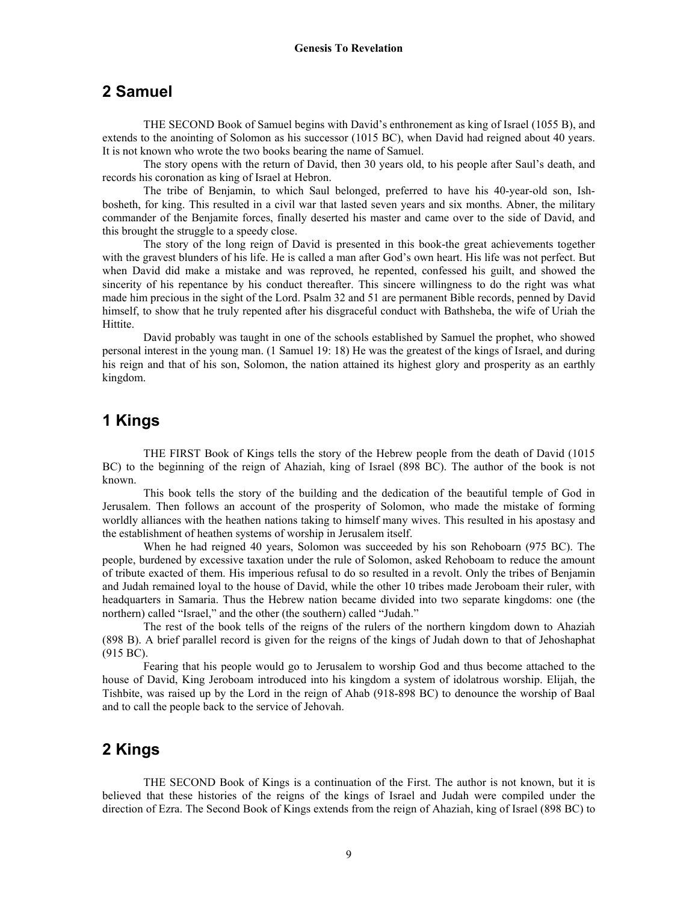# **2 Samuel**

THE SECOND Book of Samuel begins with David's enthronement as king of Israel (1055 B), and extends to the anointing of Solomon as his successor (1015 BC), when David had reigned about 40 years. It is not known who wrote the two books bearing the name of Samuel.

 The story opens with the return of David, then 30 years old, to his people after Saul's death, and records his coronation as king of Israel at Hebron.

 The tribe of Benjamin, to which Saul belonged, preferred to have his 40-year-old son, Ishbosheth, for king. This resulted in a civil war that lasted seven years and six months. Abner, the military commander of the Benjamite forces, finally deserted his master and came over to the side of David, and this brought the struggle to a speedy close.

 The story of the long reign of David is presented in this book-the great achievements together with the gravest blunders of his life. He is called a man after God's own heart. His life was not perfect. But when David did make a mistake and was reproved, he repented, confessed his guilt, and showed the sincerity of his repentance by his conduct thereafter. This sincere willingness to do the right was what made him precious in the sight of the Lord. Psalm 32 and 51 are permanent Bible records, penned by David himself, to show that he truly repented after his disgraceful conduct with Bathsheba, the wife of Uriah the Hittite.

 David probably was taught in one of the schools established by Samuel the prophet, who showed personal interest in the young man. (1 Samuel 19: 18) He was the greatest of the kings of Israel, and during his reign and that of his son, Solomon, the nation attained its highest glory and prosperity as an earthly kingdom.

# **1 Kings**

THE FIRST Book of Kings tells the story of the Hebrew people from the death of David (1015 BC) to the beginning of the reign of Ahaziah, king of Israel (898 BC). The author of the book is not known.

 This book tells the story of the building and the dedication of the beautiful temple of God in Jerusalem. Then follows an account of the prosperity of Solomon, who made the mistake of forming worldly alliances with the heathen nations taking to himself many wives. This resulted in his apostasy and the establishment of heathen systems of worship in Jerusalem itself.

When he had reigned 40 years, Solomon was succeeded by his son Rehoboarn (975 BC). The people, burdened by excessive taxation under the rule of Solomon, asked Rehoboam to reduce the amount of tribute exacted of them. His imperious refusal to do so resulted in a revolt. Only the tribes of Benjamin and Judah remained loyal to the house of David, while the other 10 tribes made Jeroboam their ruler, with headquarters in Samaria. Thus the Hebrew nation became divided into two separate kingdoms: one (the northern) called "Israel," and the other (the southern) called "Judah."

 The rest of the book tells of the reigns of the rulers of the northern kingdom down to Ahaziah (898 B). A brief parallel record is given for the reigns of the kings of Judah down to that of Jehoshaphat (915 BC).

 Fearing that his people would go to Jerusalem to worship God and thus become attached to the house of David, King Jeroboam introduced into his kingdom a system of idolatrous worship. Elijah, the Tishbite, was raised up by the Lord in the reign of Ahab (918-898 BC) to denounce the worship of Baal and to call the people back to the service of Jehovah.

# **2 Kings**

THE SECOND Book of Kings is a continuation of the First. The author is not known, but it is believed that these histories of the reigns of the kings of Israel and Judah were compiled under the direction of Ezra. The Second Book of Kings extends from the reign of Ahaziah, king of Israel (898 BC) to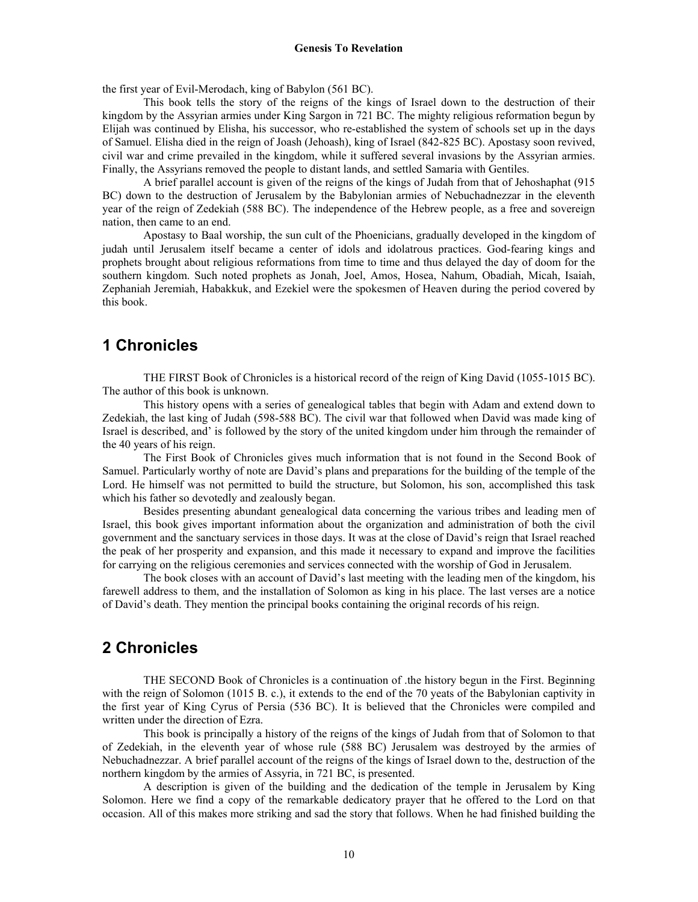the first year of Evil-Merodach, king of Babylon (561 BC).

 This book tells the story of the reigns of the kings of Israel down to the destruction of their kingdom by the Assyrian armies under King Sargon in 721 BC. The mighty religious reformation begun by Elijah was continued by Elisha, his successor, who re-established the system of schools set up in the days of Samuel. Elisha died in the reign of Joash (Jehoash), king of Israel (842-825 BC). Apostasy soon revived, civil war and crime prevailed in the kingdom, while it suffered several invasions by the Assyrian armies. Finally, the Assyrians removed the people to distant lands, and settled Samaria with Gentiles.

 A brief parallel account is given of the reigns of the kings of Judah from that of Jehoshaphat (915 BC) down to the destruction of Jerusalem by the Babylonian armies of Nebuchadnezzar in the eleventh year of the reign of Zedekiah (588 BC). The independence of the Hebrew people, as a free and sovereign nation, then came to an end.

 Apostasy to Baal worship, the sun cult of the Phoenicians, gradually developed in the kingdom of judah until Jerusalem itself became a center of idols and idolatrous practices. God-fearing kings and prophets brought about religious reformations from time to time and thus delayed the day of doom for the southern kingdom. Such noted prophets as Jonah, Joel, Amos, Hosea, Nahum, Obadiah, Micah, Isaiah, Zephaniah Jeremiah, Habakkuk, and Ezekiel were the spokesmen of Heaven during the period covered by this book.

# **1 Chronicles**

THE FIRST Book of Chronicles is a historical record of the reign of King David (1055-1015 BC). The author of this book is unknown.

 This history opens with a series of genealogical tables that begin with Adam and extend down to Zedekiah, the last king of Judah (598-588 BC). The civil war that followed when David was made king of Israel is described, and' is followed by the story of the united kingdom under him through the remainder of the 40 years of his reign.

 The First Book of Chronicles gives much information that is not found in the Second Book of Samuel. Particularly worthy of note are David's plans and preparations for the building of the temple of the Lord. He himself was not permitted to build the structure, but Solomon, his son, accomplished this task which his father so devotedly and zealously began.

 Besides presenting abundant genealogical data concerning the various tribes and leading men of Israel, this book gives important information about the organization and administration of both the civil government and the sanctuary services in those days. It was at the close of David's reign that Israel reached the peak of her prosperity and expansion, and this made it necessary to expand and improve the facilities for carrying on the religious ceremonies and services connected with the worship of God in Jerusalem.

 The book closes with an account of David's last meeting with the leading men of the kingdom, his farewell address to them, and the installation of Solomon as king in his place. The last verses are a notice of David's death. They mention the principal books containing the original records of his reign.

## **2 Chronicles**

THE SECOND Book of Chronicles is a continuation of .the history begun in the First. Beginning with the reign of Solomon (1015 B. c.), it extends to the end of the 70 yeats of the Babylonian captivity in the first year of King Cyrus of Persia (536 BC). It is believed that the Chronicles were compiled and written under the direction of Ezra.

 This book is principally a history of the reigns of the kings of Judah from that of Solomon to that of Zedekiah, in the eleventh year of whose rule (588 BC) Jerusalem was destroyed by the armies of Nebuchadnezzar. A brief parallel account of the reigns of the kings of Israel down to the, destruction of the northern kingdom by the armies of Assyria, in 721 BC, is presented.

 A description is given of the building and the dedication of the temple in Jerusalem by King Solomon. Here we find a copy of the remarkable dedicatory prayer that he offered to the Lord on that occasion. All of this makes more striking and sad the story that follows. When he had finished building the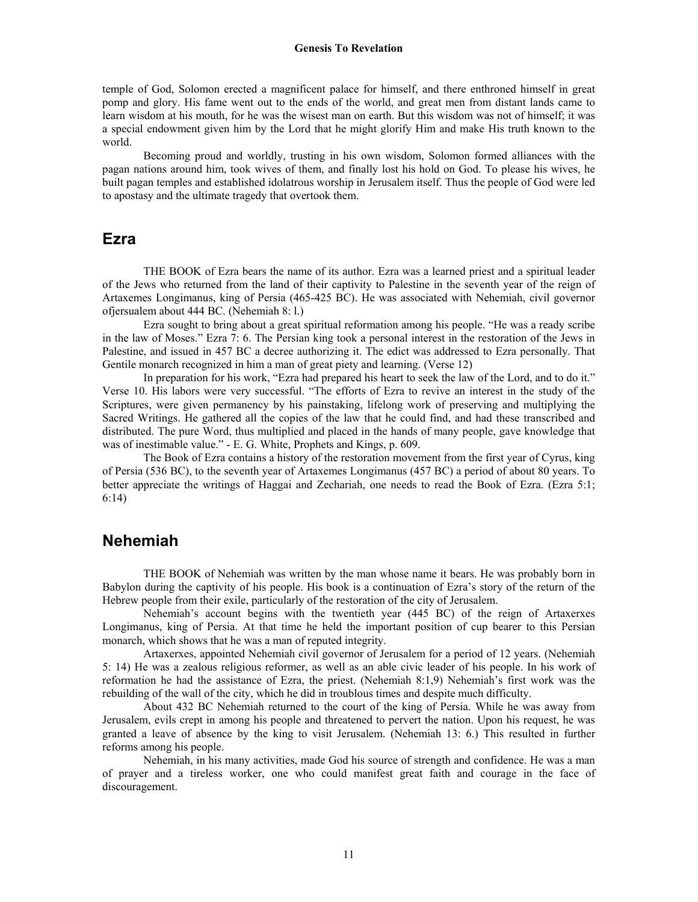temple of God, Solomon erected a magnificent palace for himself, and there enthroned himself in great pomp and glory. His fame went out to the ends of the world, and great men from distant lands came to learn wisdom at his mouth, for he was the wisest man on earth. But this wisdom was not of himself; it was a special endowment given him by the Lord that he might glorify Him and make His truth known to the world.

 Becoming proud and worldly, trusting in his own wisdom, Solomon formed alliances with the pagan nations around him, took wives of them, and finally lost his hold on God. To please his wives, he built pagan temples and established idolatrous worship in Jerusalem itself. Thus the people of God were led to apostasy and the ultimate tragedy that overtook them.

#### **Ezra**

THE BOOK of Ezra bears the name of its author. Ezra was a learned priest and a spiritual leader of the Jews who returned from the land of their captivity to Palestine in the seventh year of the reign of Artaxemes Longimanus, king of Persia (465-425 BC). He was associated with Nehemiah, civil governor ofjersualem about 444 BC. (Nehemiah 8: l.)

 Ezra sought to bring about a great spiritual reformation among his people. "He was a ready scribe in the law of Moses." Ezra 7: 6. The Persian king took a personal interest in the restoration of the Jews in Palestine, and issued in 457 BC a decree authorizing it. The edict was addressed to Ezra personally. That Gentile monarch recognized in him a man of great piety and learning. (Verse 12)

 In preparation for his work, "Ezra had prepared his heart to seek the law of the Lord, and to do it." Verse 10. His labors were very successful. "The efforts of Ezra to revive an interest in the study of the Scriptures, were given permanency by his painstaking, lifelong work of preserving and multiplying the Sacred Writings. He gathered all the copies of the law that he could find, and had these transcribed and distributed. The pure Word, thus multiplied and placed in the hands of many people, gave knowledge that was of inestimable value." - E. G. White, Prophets and Kings, p. 609.

 The Book of Ezra contains a history of the restoration movement from the first year of Cyrus, king of Persia (536 BC), to the seventh year of Artaxemes Longimanus (457 BC) a period of about 80 years. To better appreciate the writings of Haggai and Zechariah, one needs to read the Book of Ezra. (Ezra 5:1; 6:14)

### **Nehemiah**

THE BOOK of Nehemiah was written by the man whose name it bears. He was probably born in Babylon during the captivity of his people. His book is a continuation of Ezra's story of the return of the Hebrew people from their exile, particularly of the restoration of the city of Jerusalem.

 Nehemiah's account begins with the twentieth year (445 BC) of the reign of Artaxerxes Longimanus, king of Persia. At that time he held the important position of cup bearer to this Persian monarch, which shows that he was a man of reputed integrity.

 Artaxerxes, appointed Nehemiah civil governor of Jerusalem for a period of 12 years. (Nehemiah 5: 14) He was a zealous religious reformer, as well as an able civic leader of his people. In his work of reformation he had the assistance of Ezra, the priest. (Nehemiah 8:1,9) Nehemiah's first work was the rebuilding of the wall of the city, which he did in troublous times and despite much difficulty.

 About 432 BC Nehemiah returned to the court of the king of Persia. While he was away from Jerusalem, evils crept in among his people and threatened to pervert the nation. Upon his request, he was granted a leave of absence by the king to visit Jerusalem. (Nehemiah 13: 6.) This resulted in further reforms among his people.

Nehemiah, in his many activities, made God his source of strength and confidence. He was a man of prayer and a tireless worker, one who could manifest great faith and courage in the face of discouragement.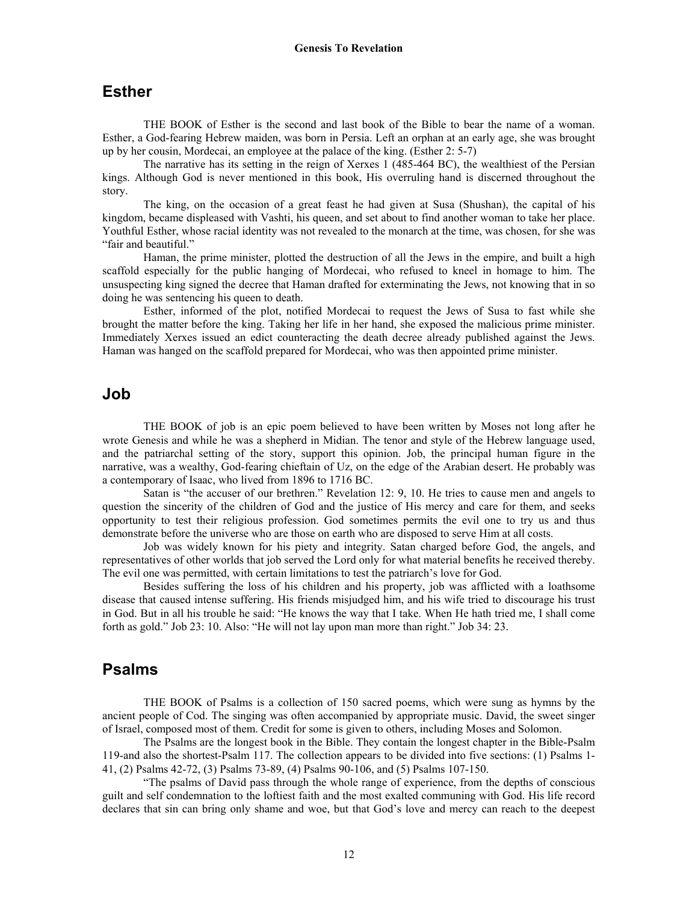#### **Esther**

THE BOOK of Esther is the second and last book of the Bible to bear the name of a woman. Esther, a God-fearing Hebrew maiden, was born in Persia. Left an orphan at an early age, she was brought up by her cousin, Mordecai, an employee at the palace of the king. (Esther 2: 5-7)

 The narrative has its setting in the reign of Xerxes 1 (485-464 BC), the wealthiest of the Persian kings. Although God is never mentioned in this book, His overruling hand is discerned throughout the story.

 The king, on the occasion of a great feast he had given at Susa (Shushan), the capital of his kingdom, became displeased with Vashti, his queen, and set about to find another woman to take her place. Youthful Esther, whose racial identity was not revealed to the monarch at the time, was chosen, for she was "fair and beautiful."

 Haman, the prime minister, plotted the destruction of all the Jews in the empire, and built a high scaffold especially for the public hanging of Mordecai, who refused to kneel in homage to him. The unsuspecting king signed the decree that Haman drafted for exterminating the Jews, not knowing that in so doing he was sentencing his queen to death.

 Esther, informed of the plot, notified Mordecai to request the Jews of Susa to fast while she brought the matter before the king. Taking her life in her hand, she exposed the malicious prime minister. Immediately Xerxes issued an edict counteracting the death decree already published against the Jews. Haman was hanged on the scaffold prepared for Mordecai, who was then appointed prime minister.

#### **Job**

THE BOOK of job is an epic poem believed to have been written by Moses not long after he wrote Genesis and while he was a shepherd in Midian. The tenor and style of the Hebrew language used, and the patriarchal setting of the story, support this opinion. Job, the principal human figure in the narrative, was a wealthy, God-fearing chieftain of Uz, on the edge of the Arabian desert. He probably was a contemporary of Isaac, who lived from 1896 to 1716 BC.

 Satan is "the accuser of our brethren." Revelation 12: 9, 10. He tries to cause men and angels to question the sincerity of the children of God and the justice of His mercy and care for them, and seeks opportunity to test their religious profession. God sometimes permits the evil one to try us and thus demonstrate before the universe who are those on earth who are disposed to serve Him at all costs.

 Job was widely known for his piety and integrity. Satan charged before God, the angels, and representatives of other worlds that job served the Lord only for what material benefits he received thereby. The evil one was permitted, with certain limitations to test the patriarch's love for God.

 Besides suffering the loss of his children and his property, job was afflicted with a loathsome disease that caused intense suffering. His friends misjudged him, and his wife tried to discourage his trust in God. But in all his trouble he said: "He knows the way that I take. When He hath tried me, I shall come forth as gold." Job 23: 10. Also: "He will not lay upon man more than right." Job 34: 23.

#### **Psalms**

THE BOOK of Psalms is a collection of 150 sacred poems, which were sung as hymns by the ancient people of Cod. The singing was often accompanied by appropriate music. David, the sweet singer of Israel, composed most of them. Credit for some is given to others, including Moses and Solomon.

 The Psalms are the longest book in the Bible. They contain the longest chapter in the Bible-Psalm 119-and also the shortest-Psalm 117. The collection appears to be divided into five sections: (1) Psalms 1- 41, (2) Psalms 42-72, (3) Psalms 73-89, (4) Psalms 90-106, and (5) Psalms 107-150.

 "The psalms of David pass through the whole range of experience, from the depths of conscious guilt and self condemnation to the loftiest faith and the most exalted communing with God. His life record declares that sin can bring only shame and woe, but that God's love and mercy can reach to the deepest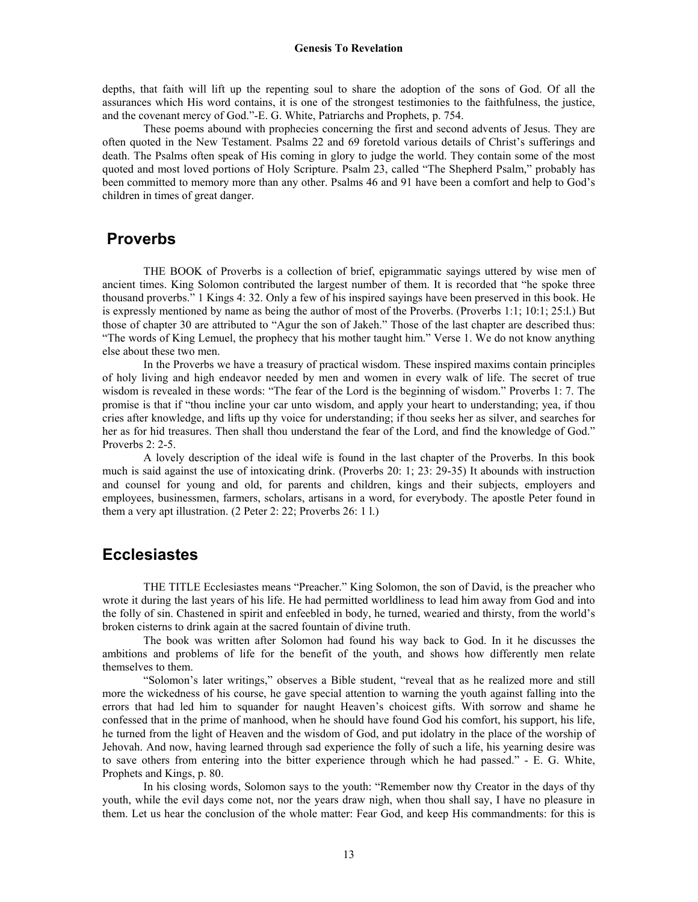#### **Genesis To Revelation**

depths, that faith will lift up the repenting soul to share the adoption of the sons of God. Of all the assurances which His word contains, it is one of the strongest testimonies to the faithfulness, the justice, and the covenant mercy of God."-E. G. White, Patriarchs and Prophets, p. 754.

 These poems abound with prophecies concerning the first and second advents of Jesus. They are often quoted in the New Testament. Psalms 22 and 69 foretold various details of Christ's sufferings and death. The Psalms often speak of His coming in glory to judge the world. They contain some of the most quoted and most loved portions of Holy Scripture. Psalm 23, called "The Shepherd Psalm," probably has been committed to memory more than any other. Psalms 46 and 91 have been a comfort and help to God's children in times of great danger.

#### **Proverbs**

THE BOOK of Proverbs is a collection of brief, epigrammatic sayings uttered by wise men of ancient times. King Solomon contributed the largest number of them. It is recorded that "he spoke three thousand proverbs." 1 Kings 4: 32. Only a few of his inspired sayings have been preserved in this book. He is expressly mentioned by name as being the author of most of the Proverbs. (Proverbs 1:1; 10:1; 25:l.) But those of chapter 30 are attributed to "Agur the son of Jakeh." Those of the last chapter are described thus: "The words of King Lemuel, the prophecy that his mother taught him." Verse 1. We do not know anything else about these two men.

 In the Proverbs we have a treasury of practical wisdom. These inspired maxims contain principles of holy living and high endeavor needed by men and women in every walk of life. The secret of true wisdom is revealed in these words: "The fear of the Lord is the beginning of wisdom." Proverbs 1: 7. The promise is that if "thou incline your car unto wisdom, and apply your heart to understanding; yea, if thou cries after knowledge, and lifts up thy voice for understanding; if thou seeks her as silver, and searches for her as for hid treasures. Then shall thou understand the fear of the Lord, and find the knowledge of God." Proverbs 2: 2-5.

 A lovely description of the ideal wife is found in the last chapter of the Proverbs. In this book much is said against the use of intoxicating drink. (Proverbs 20: 1; 23: 29-35) It abounds with instruction and counsel for young and old, for parents and children, kings and their subjects, employers and employees, businessmen, farmers, scholars, artisans in a word, for everybody. The apostle Peter found in them a very apt illustration. (2 Peter 2: 22; Proverbs 26: 1 l.)

# **Ecclesiastes**

THE TITLE Ecclesiastes means "Preacher." King Solomon, the son of David, is the preacher who wrote it during the last years of his life. He had permitted worldliness to lead him away from God and into the folly of sin. Chastened in spirit and enfeebled in body, he turned, wearied and thirsty, from the world's broken cisterns to drink again at the sacred fountain of divine truth.

 The book was written after Solomon had found his way back to God. In it he discusses the ambitions and problems of life for the benefit of the youth, and shows how differently men relate themselves to them.

 "Solomon's later writings," observes a Bible student, "reveal that as he realized more and still more the wickedness of his course, he gave special attention to warning the youth against falling into the errors that had led him to squander for naught Heaven's choicest gifts. With sorrow and shame he confessed that in the prime of manhood, when he should have found God his comfort, his support, his life, he turned from the light of Heaven and the wisdom of God, and put idolatry in the place of the worship of Jehovah. And now, having learned through sad experience the folly of such a life, his yearning desire was to save others from entering into the bitter experience through which he had passed." - E. G. White, Prophets and Kings, p. 80.

 In his closing words, Solomon says to the youth: "Remember now thy Creator in the days of thy youth, while the evil days come not, nor the years draw nigh, when thou shall say, I have no pleasure in them. Let us hear the conclusion of the whole matter: Fear God, and keep His commandments: for this is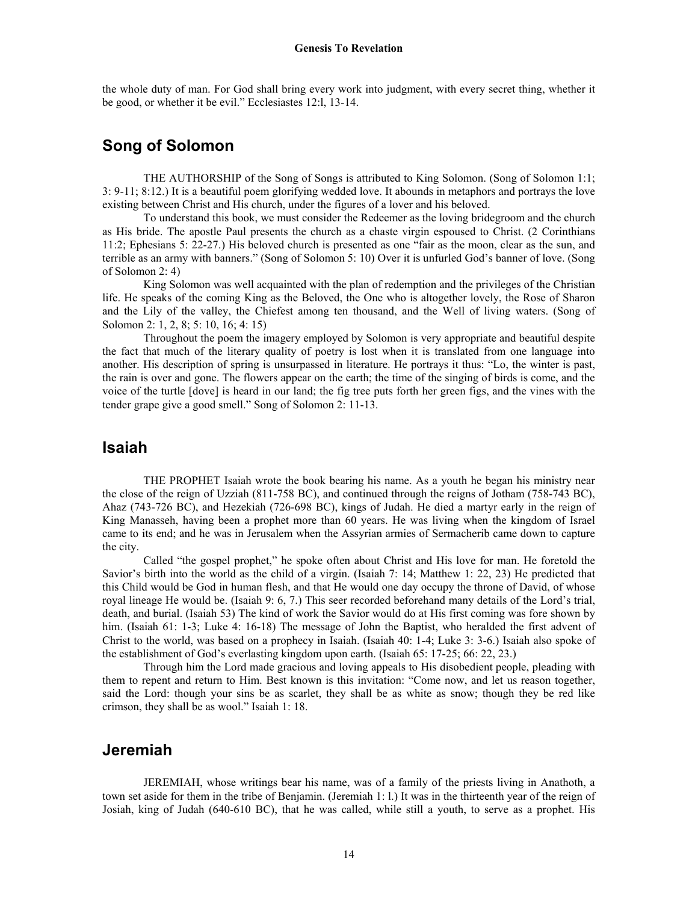the whole duty of man. For God shall bring every work into judgment, with every secret thing, whether it be good, or whether it be evil." Ecclesiastes 12:l, 13-14.

# **Song of Solomon**

THE AUTHORSHIP of the Song of Songs is attributed to King Solomon. (Song of Solomon 1:1; 3: 9-11; 8:12.) It is a beautiful poem glorifying wedded love. It abounds in metaphors and portrays the love existing between Christ and His church, under the figures of a lover and his beloved.

 To understand this book, we must consider the Redeemer as the loving bridegroom and the church as His bride. The apostle Paul presents the church as a chaste virgin espoused to Christ. (2 Corinthians 11:2; Ephesians 5: 22-27.) His beloved church is presented as one "fair as the moon, clear as the sun, and terrible as an army with banners." (Song of Solomon 5: 10) Over it is unfurled God's banner of love. (Song of Solomon 2: 4)

 King Solomon was well acquainted with the plan of redemption and the privileges of the Christian life. He speaks of the coming King as the Beloved, the One who is altogether lovely, the Rose of Sharon and the Lily of the valley, the Chiefest among ten thousand, and the Well of living waters. (Song of Solomon 2: 1, 2, 8; 5: 10, 16; 4: 15)

 Throughout the poem the imagery employed by Solomon is very appropriate and beautiful despite the fact that much of the literary quality of poetry is lost when it is translated from one language into another. His description of spring is unsurpassed in literature. He portrays it thus: "Lo, the winter is past, the rain is over and gone. The flowers appear on the earth; the time of the singing of birds is come, and the voice of the turtle [dove] is heard in our land; the fig tree puts forth her green figs, and the vines with the tender grape give a good smell." Song of Solomon 2: 11-13.

#### **Isaiah**

THE PROPHET Isaiah wrote the book bearing his name. As a youth he began his ministry near the close of the reign of Uzziah (811-758 BC), and continued through the reigns of Jotham (758-743 BC), Ahaz (743-726 BC), and Hezekiah (726-698 BC), kings of Judah. He died a martyr early in the reign of King Manasseh, having been a prophet more than 60 years. He was living when the kingdom of Israel came to its end; and he was in Jerusalem when the Assyrian armies of Sermacherib came down to capture the city.

 Called "the gospel prophet," he spoke often about Christ and His love for man. He foretold the Savior's birth into the world as the child of a virgin. (Isaiah 7: 14; Matthew 1: 22, 23) He predicted that this Child would be God in human flesh, and that He would one day occupy the throne of David, of whose royal lineage He would be. (Isaiah 9: 6, 7.) This seer recorded beforehand many details of the Lord's trial, death, and burial. (Isaiah 53) The kind of work the Savior would do at His first coming was fore shown by him. (Isaiah 61: 1-3; Luke 4: 16-18) The message of John the Baptist, who heralded the first advent of Christ to the world, was based on a prophecy in Isaiah. (Isaiah 40: 1-4; Luke 3: 3-6.) Isaiah also spoke of the establishment of God's everlasting kingdom upon earth. (Isaiah 65: 17-25; 66: 22, 23.)

 Through him the Lord made gracious and loving appeals to His disobedient people, pleading with them to repent and return to Him. Best known is this invitation: "Come now, and let us reason together, said the Lord: though your sins be as scarlet, they shall be as white as snow; though they be red like crimson, they shall be as wool." Isaiah 1: 18.

#### **Jeremiah**

JEREMIAH, whose writings bear his name, was of a family of the priests living in Anathoth, a town set aside for them in the tribe of Benjamin. (Jeremiah 1: l.) It was in the thirteenth year of the reign of Josiah, king of Judah (640-610 BC), that he was called, while still a youth, to serve as a prophet. His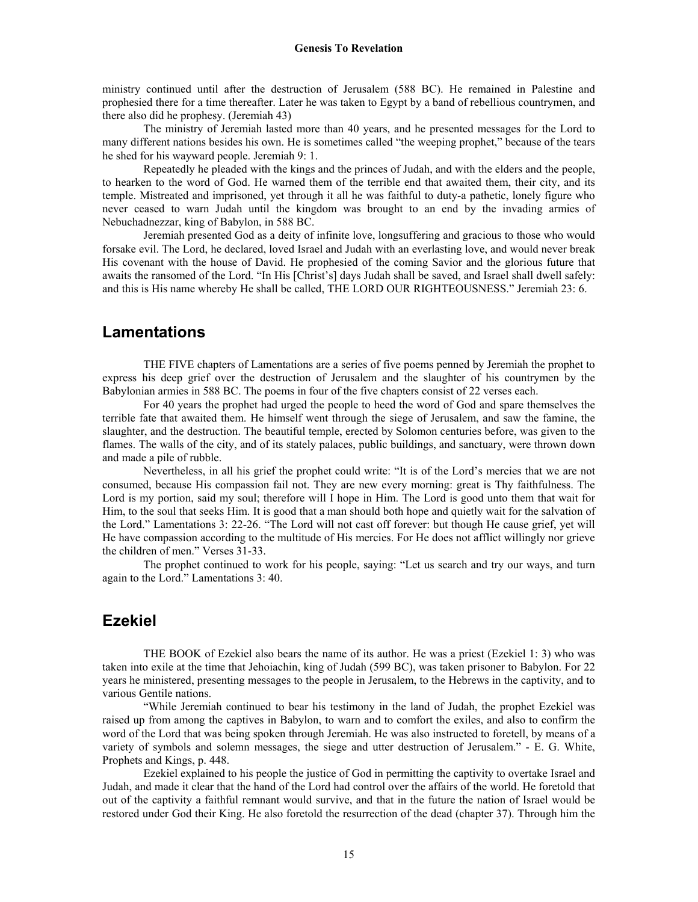ministry continued until after the destruction of Jerusalem (588 BC). He remained in Palestine and prophesied there for a time thereafter. Later he was taken to Egypt by a band of rebellious countrymen, and there also did he prophesy. (Jeremiah 43)

 The ministry of Jeremiah lasted more than 40 years, and he presented messages for the Lord to many different nations besides his own. He is sometimes called "the weeping prophet," because of the tears he shed for his wayward people. Jeremiah 9: 1.

 Repeatedly he pleaded with the kings and the princes of Judah, and with the elders and the people, to hearken to the word of God. He warned them of the terrible end that awaited them, their city, and its temple. Mistreated and imprisoned, yet through it all he was faithful to duty-a pathetic, lonely figure who never ceased to warn Judah until the kingdom was brought to an end by the invading armies of Nebuchadnezzar, king of Babylon, in 588 BC.

 Jeremiah presented God as a deity of infinite love, longsuffering and gracious to those who would forsake evil. The Lord, he declared, loved Israel and Judah with an everlasting love, and would never break His covenant with the house of David. He prophesied of the coming Savior and the glorious future that awaits the ransomed of the Lord. "In His [Christ's] days Judah shall be saved, and Israel shall dwell safely: and this is His name whereby He shall be called, THE LORD OUR RIGHTEOUSNESS." Jeremiah 23: 6.

### **Lamentations**

THE FIVE chapters of Lamentations are a series of five poems penned by Jeremiah the prophet to express his deep grief over the destruction of Jerusalem and the slaughter of his countrymen by the Babylonian armies in 588 BC. The poems in four of the five chapters consist of 22 verses each.

 For 40 years the prophet had urged the people to heed the word of God and spare themselves the terrible fate that awaited them. He himself went through the siege of Jerusalem, and saw the famine, the slaughter, and the destruction. The beautiful temple, erected by Solomon centuries before, was given to the flames. The walls of the city, and of its stately palaces, public buildings, and sanctuary, were thrown down and made a pile of rubble.

 Nevertheless, in all his grief the prophet could write: "It is of the Lord's mercies that we are not consumed, because His compassion fail not. They are new every morning: great is Thy faithfulness. The Lord is my portion, said my soul; therefore will I hope in Him. The Lord is good unto them that wait for Him, to the soul that seeks Him. It is good that a man should both hope and quietly wait for the salvation of the Lord." Lamentations 3: 22-26. "The Lord will not cast off forever: but though He cause grief, yet will He have compassion according to the multitude of His mercies. For He does not afflict willingly nor grieve the children of men." Verses 31-33.

 The prophet continued to work for his people, saying: "Let us search and try our ways, and turn again to the Lord." Lamentations 3: 40.

### **Ezekiel**

THE BOOK of Ezekiel also bears the name of its author. He was a priest (Ezekiel 1: 3) who was taken into exile at the time that Jehoiachin, king of Judah (599 BC), was taken prisoner to Babylon. For 22 years he ministered, presenting messages to the people in Jerusalem, to the Hebrews in the captivity, and to various Gentile nations.

 "While Jeremiah continued to bear his testimony in the land of Judah, the prophet Ezekiel was raised up from among the captives in Babylon, to warn and to comfort the exiles, and also to confirm the word of the Lord that was being spoken through Jeremiah. He was also instructed to foretell, by means of a variety of symbols and solemn messages, the siege and utter destruction of Jerusalem." - E. G. White, Prophets and Kings, p. 448.

 Ezekiel explained to his people the justice of God in permitting the captivity to overtake Israel and Judah, and made it clear that the hand of the Lord had control over the affairs of the world. He foretold that out of the captivity a faithful remnant would survive, and that in the future the nation of Israel would be restored under God their King. He also foretold the resurrection of the dead (chapter 37). Through him the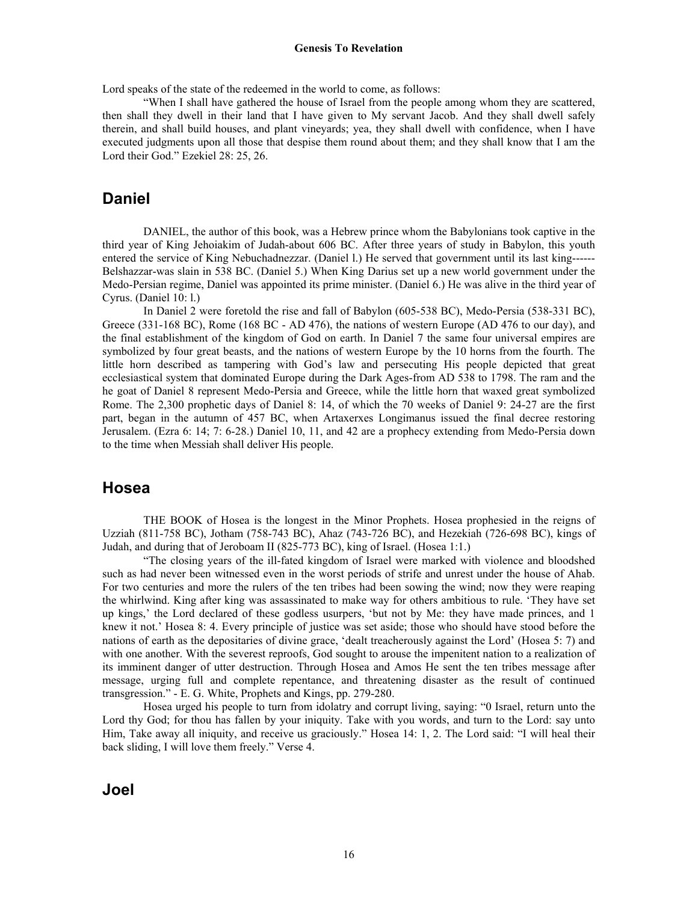Lord speaks of the state of the redeemed in the world to come, as follows:

 "When I shall have gathered the house of Israel from the people among whom they are scattered, then shall they dwell in their land that I have given to My servant Jacob. And they shall dwell safely therein, and shall build houses, and plant vineyards; yea, they shall dwell with confidence, when I have executed judgments upon all those that despise them round about them; and they shall know that I am the Lord their God." Ezekiel 28: 25, 26.

#### **Daniel**

DANIEL, the author of this book, was a Hebrew prince whom the Babylonians took captive in the third year of King Jehoiakim of Judah-about 606 BC. After three years of study in Babylon, this youth entered the service of King Nebuchadnezzar. (Daniel l.) He served that government until its last king------ Belshazzar-was slain in 538 BC. (Daniel 5.) When King Darius set up a new world government under the Medo-Persian regime, Daniel was appointed its prime minister. (Daniel 6.) He was alive in the third year of Cyrus. (Daniel 10: l.)

 In Daniel 2 were foretold the rise and fall of Babylon (605-538 BC), Medo-Persia (538-331 BC), Greece (331-168 BC), Rome (168 BC - AD 476), the nations of western Europe (AD 476 to our day), and the final establishment of the kingdom of God on earth. In Daniel 7 the same four universal empires are symbolized by four great beasts, and the nations of western Europe by the 10 horns from the fourth. The little horn described as tampering with God's law and persecuting His people depicted that great ecclesiastical system that dominated Europe during the Dark Ages-from AD 538 to 1798. The ram and the he goat of Daniel 8 represent Medo-Persia and Greece, while the little horn that waxed great symbolized Rome. The 2,300 prophetic days of Daniel 8: 14, of which the 70 weeks of Daniel 9: 24-27 are the first part, began in the autumn of 457 BC, when Artaxerxes Longimanus issued the final decree restoring Jerusalem. (Ezra 6: 14; 7: 6-28.) Daniel 10, 11, and 42 are a prophecy extending from Medo-Persia down to the time when Messiah shall deliver His people.

#### **Hosea**

THE BOOK of Hosea is the longest in the Minor Prophets. Hosea prophesied in the reigns of Uzziah (811-758 BC), Jotham (758-743 BC), Ahaz (743-726 BC), and Hezekiah (726-698 BC), kings of Judah, and during that of Jeroboam II (825-773 BC), king of Israel. (Hosea 1:1.)

 "The closing years of the ill-fated kingdom of Israel were marked with violence and bloodshed such as had never been witnessed even in the worst periods of strife and unrest under the house of Ahab. For two centuries and more the rulers of the ten tribes had been sowing the wind; now they were reaping the whirlwind. King after king was assassinated to make way for others ambitious to rule. 'They have set up kings,' the Lord declared of these godless usurpers, 'but not by Me: they have made princes, and 1 knew it not.' Hosea 8: 4. Every principle of justice was set aside; those who should have stood before the nations of earth as the depositaries of divine grace, 'dealt treacherously against the Lord' (Hosea 5: 7) and with one another. With the severest reproofs, God sought to arouse the impenitent nation to a realization of its imminent danger of utter destruction. Through Hosea and Amos He sent the ten tribes message after message, urging full and complete repentance, and threatening disaster as the result of continued transgression." - E. G. White, Prophets and Kings, pp. 279-280.

 Hosea urged his people to turn from idolatry and corrupt living, saying: "0 Israel, return unto the Lord thy God; for thou has fallen by your iniquity. Take with you words, and turn to the Lord: say unto Him, Take away all iniquity, and receive us graciously." Hosea 14: 1, 2. The Lord said: "I will heal their back sliding, I will love them freely." Verse 4.

**Joel**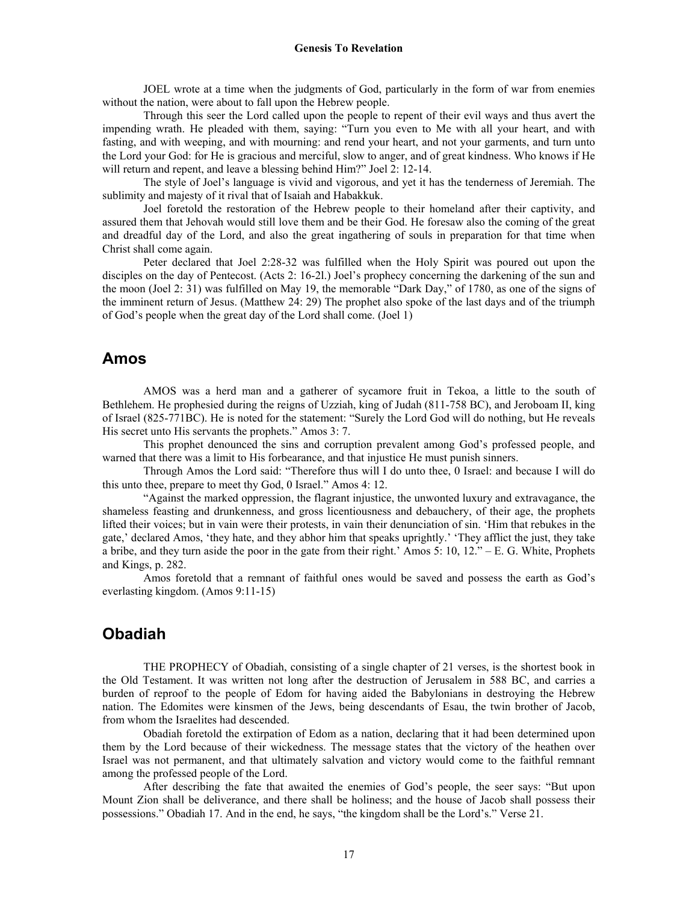JOEL wrote at a time when the judgments of God, particularly in the form of war from enemies without the nation, were about to fall upon the Hebrew people.

 Through this seer the Lord called upon the people to repent of their evil ways and thus avert the impending wrath. He pleaded with them, saying: "Turn you even to Me with all your heart, and with fasting, and with weeping, and with mourning: and rend your heart, and not your garments, and turn unto the Lord your God: for He is gracious and merciful, slow to anger, and of great kindness. Who knows if He will return and repent, and leave a blessing behind Him?" Joel 2: 12-14.

 The style of Joel's language is vivid and vigorous, and yet it has the tenderness of Jeremiah. The sublimity and majesty of it rival that of Isaiah and Habakkuk.

 Joel foretold the restoration of the Hebrew people to their homeland after their captivity, and assured them that Jehovah would still love them and be their God. He foresaw also the coming of the great and dreadful day of the Lord, and also the great ingathering of souls in preparation for that time when Christ shall come again.

 Peter declared that Joel 2:28-32 was fulfilled when the Holy Spirit was poured out upon the disciples on the day of Pentecost. (Acts 2: 16-2l.) Joel's prophecy concerning the darkening of the sun and the moon (Joel 2: 31) was fulfilled on May 19, the memorable "Dark Day," of 1780, as one of the signs of the imminent return of Jesus. (Matthew 24: 29) The prophet also spoke of the last days and of the triumph of God's people when the great day of the Lord shall come. (Joel 1)

#### **Amos**

AMOS was a herd man and a gatherer of sycamore fruit in Tekoa, a little to the south of Bethlehem. He prophesied during the reigns of Uzziah, king of Judah (811-758 BC), and Jeroboam II, king of Israel (825-771BC). He is noted for the statement: "Surely the Lord God will do nothing, but He reveals His secret unto His servants the prophets." Amos 3: 7.

 This prophet denounced the sins and corruption prevalent among God's professed people, and warned that there was a limit to His forbearance, and that injustice He must punish sinners.

 Through Amos the Lord said: "Therefore thus will I do unto thee, 0 Israel: and because I will do this unto thee, prepare to meet thy God, 0 Israel." Amos 4: 12.

 "Against the marked oppression, the flagrant injustice, the unwonted luxury and extravagance, the shameless feasting and drunkenness, and gross licentiousness and debauchery, of their age, the prophets lifted their voices; but in vain were their protests, in vain their denunciation of sin. 'Him that rebukes in the gate,' declared Amos, 'they hate, and they abhor him that speaks uprightly.' 'They afflict the just, they take a bribe, and they turn aside the poor in the gate from their right.' Amos 5: 10, 12." – E. G. White, Prophets and Kings, p. 282.

 Amos foretold that a remnant of faithful ones would be saved and possess the earth as God's everlasting kingdom. (Amos 9:11-15)

# **Obadiah**

THE PROPHECY of Obadiah, consisting of a single chapter of 21 verses, is the shortest book in the Old Testament. It was written not long after the destruction of Jerusalem in 588 BC, and carries a burden of reproof to the people of Edom for having aided the Babylonians in destroying the Hebrew nation. The Edomites were kinsmen of the Jews, being descendants of Esau, the twin brother of Jacob, from whom the Israelites had descended.

 Obadiah foretold the extirpation of Edom as a nation, declaring that it had been determined upon them by the Lord because of their wickedness. The message states that the victory of the heathen over Israel was not permanent, and that ultimately salvation and victory would come to the faithful remnant among the professed people of the Lord.

 After describing the fate that awaited the enemies of God's people, the seer says: "But upon Mount Zion shall be deliverance, and there shall be holiness; and the house of Jacob shall possess their possessions." Obadiah 17. And in the end, he says, "the kingdom shall be the Lord's." Verse 21.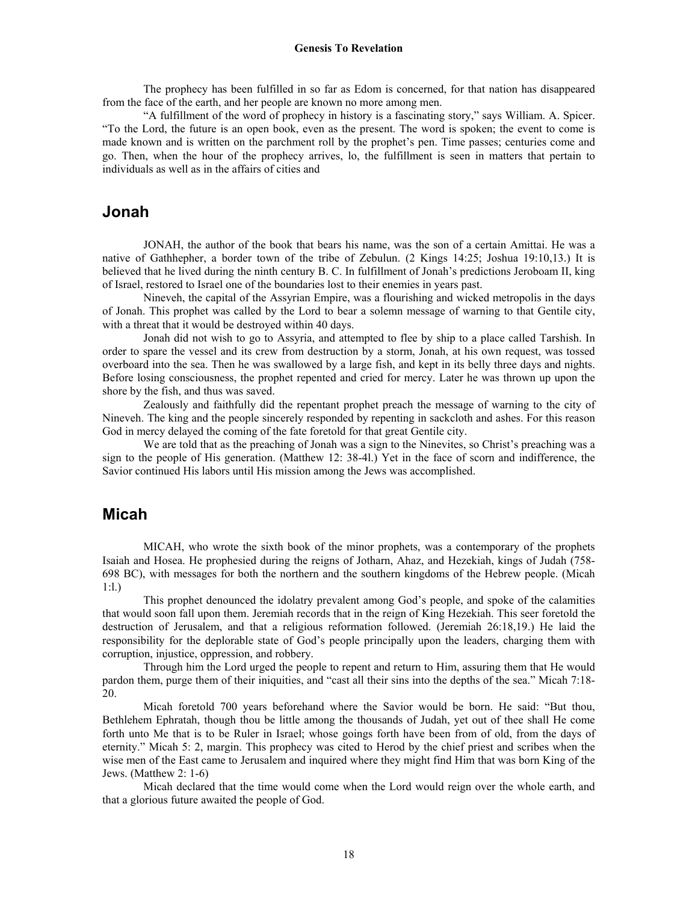The prophecy has been fulfilled in so far as Edom is concerned, for that nation has disappeared from the face of the earth, and her people are known no more among men.

 "A fulfillment of the word of prophecy in history is a fascinating story," says William. A. Spicer. "To the Lord, the future is an open book, even as the present. The word is spoken; the event to come is made known and is written on the parchment roll by the prophet's pen. Time passes; centuries come and go. Then, when the hour of the prophecy arrives, lo, the fulfillment is seen in matters that pertain to individuals as well as in the affairs of cities and

#### **Jonah**

JONAH, the author of the book that bears his name, was the son of a certain Amittai. He was a native of Gathhepher, a border town of the tribe of Zebulun. (2 Kings 14:25; Joshua 19:10,13.) It is believed that he lived during the ninth century B. C. In fulfillment of Jonah's predictions Jeroboam II, king of Israel, restored to Israel one of the boundaries lost to their enemies in years past.

 Nineveh, the capital of the Assyrian Empire, was a flourishing and wicked metropolis in the days of Jonah. This prophet was called by the Lord to bear a solemn message of warning to that Gentile city, with a threat that it would be destroyed within 40 days.

 Jonah did not wish to go to Assyria, and attempted to flee by ship to a place called Tarshish. In order to spare the vessel and its crew from destruction by a storm, Jonah, at his own request, was tossed overboard into the sea. Then he was swallowed by a large fish, and kept in its belly three days and nights. Before losing consciousness, the prophet repented and cried for mercy. Later he was thrown up upon the shore by the fish, and thus was saved.

 Zealously and faithfully did the repentant prophet preach the message of warning to the city of Nineveh. The king and the people sincerely responded by repenting in sackcloth and ashes. For this reason God in mercy delayed the coming of the fate foretold for that great Gentile city.

 We are told that as the preaching of Jonah was a sign to the Ninevites, so Christ's preaching was a sign to the people of His generation. (Matthew 12: 38-4l.) Yet in the face of scorn and indifference, the Savior continued His labors until His mission among the Jews was accomplished.

# **Micah**

MICAH, who wrote the sixth book of the minor prophets, was a contemporary of the prophets Isaiah and Hosea. He prophesied during the reigns of Jotharn, Ahaz, and Hezekiah, kings of Judah (758- 698 BC), with messages for both the northern and the southern kingdoms of the Hebrew people. (Micah 1:l.)

 This prophet denounced the idolatry prevalent among God's people, and spoke of the calamities that would soon fall upon them. Jeremiah records that in the reign of King Hezekiah. This seer foretold the destruction of Jerusalem, and that a religious reformation followed. (Jeremiah 26:18,19.) He laid the responsibility for the deplorable state of God's people principally upon the leaders, charging them with corruption, injustice, oppression, and robbery.

 Through him the Lord urged the people to repent and return to Him, assuring them that He would pardon them, purge them of their iniquities, and "cast all their sins into the depths of the sea." Micah 7:18- 20.

 Micah foretold 700 years beforehand where the Savior would be born. He said: "But thou, Bethlehem Ephratah, though thou be little among the thousands of Judah, yet out of thee shall He come forth unto Me that is to be Ruler in Israel; whose goings forth have been from of old, from the days of eternity." Micah 5: 2, margin. This prophecy was cited to Herod by the chief priest and scribes when the wise men of the East came to Jerusalem and inquired where they might find Him that was born King of the Jews. (Matthew 2: 1-6)

 Micah declared that the time would come when the Lord would reign over the whole earth, and that a glorious future awaited the people of God.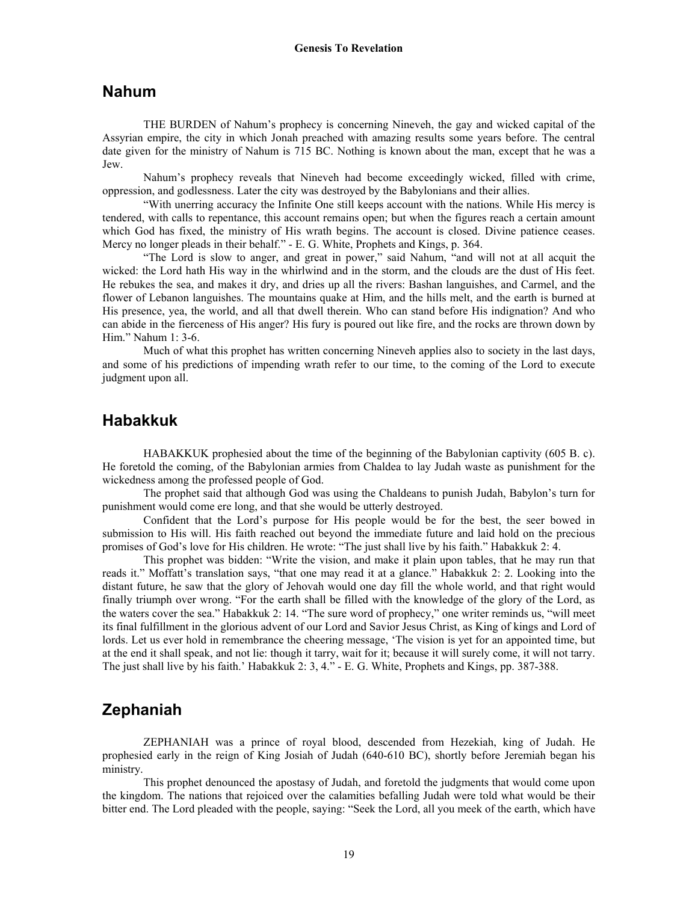#### **Nahum**

THE BURDEN of Nahum's prophecy is concerning Nineveh, the gay and wicked capital of the Assyrian empire, the city in which Jonah preached with amazing results some years before. The central date given for the ministry of Nahum is 715 BC. Nothing is known about the man, except that he was a Jew.

 Nahum's prophecy reveals that Nineveh had become exceedingly wicked, filled with crime, oppression, and godlessness. Later the city was destroyed by the Babylonians and their allies.

 "With unerring accuracy the Infinite One still keeps account with the nations. While His mercy is tendered, with calls to repentance, this account remains open; but when the figures reach a certain amount which God has fixed, the ministry of His wrath begins. The account is closed. Divine patience ceases. Mercy no longer pleads in their behalf." - E. G. White, Prophets and Kings, p. 364.

 "The Lord is slow to anger, and great in power," said Nahum, "and will not at all acquit the wicked: the Lord hath His way in the whirlwind and in the storm, and the clouds are the dust of His feet. He rebukes the sea, and makes it dry, and dries up all the rivers: Bashan languishes, and Carmel, and the flower of Lebanon languishes. The mountains quake at Him, and the hills melt, and the earth is burned at His presence, yea, the world, and all that dwell therein. Who can stand before His indignation? And who can abide in the fierceness of His anger? His fury is poured out like fire, and the rocks are thrown down by Him." Nahum 1: 3-6.

 Much of what this prophet has written concerning Nineveh applies also to society in the last days, and some of his predictions of impending wrath refer to our time, to the coming of the Lord to execute judgment upon all.

### **Habakkuk**

HABAKKUK prophesied about the time of the beginning of the Babylonian captivity (605 B. c). He foretold the coming, of the Babylonian armies from Chaldea to lay Judah waste as punishment for the wickedness among the professed people of God.

 The prophet said that although God was using the Chaldeans to punish Judah, Babylon's turn for punishment would come ere long, and that she would be utterly destroyed.

 Confident that the Lord's purpose for His people would be for the best, the seer bowed in submission to His will. His faith reached out beyond the immediate future and laid hold on the precious promises of God's love for His children. He wrote: "The just shall live by his faith." Habakkuk 2: 4.

 This prophet was bidden: "Write the vision, and make it plain upon tables, that he may run that reads it." Moffatt's translation says, "that one may read it at a glance." Habakkuk 2: 2. Looking into the distant future, he saw that the glory of Jehovah would one day fill the whole world, and that right would finally triumph over wrong. "For the earth shall be filled with the knowledge of the glory of the Lord, as the waters cover the sea." Habakkuk 2: 14. "The sure word of prophecy," one writer reminds us, "will meet its final fulfillment in the glorious advent of our Lord and Savior Jesus Christ, as King of kings and Lord of lords. Let us ever hold in remembrance the cheering message, 'The vision is yet for an appointed time, but at the end it shall speak, and not lie: though it tarry, wait for it; because it will surely come, it will not tarry. The just shall live by his faith.' Habakkuk 2: 3, 4." - E. G. White, Prophets and Kings, pp. 387-388.

# **Zephaniah**

ZEPHANIAH was a prince of royal blood, descended from Hezekiah, king of Judah. He prophesied early in the reign of King Josiah of Judah (640-610 BC), shortly before Jeremiah began his ministry.

 This prophet denounced the apostasy of Judah, and foretold the judgments that would come upon the kingdom. The nations that rejoiced over the calamities befalling Judah were told what would be their bitter end. The Lord pleaded with the people, saying: "Seek the Lord, all you meek of the earth, which have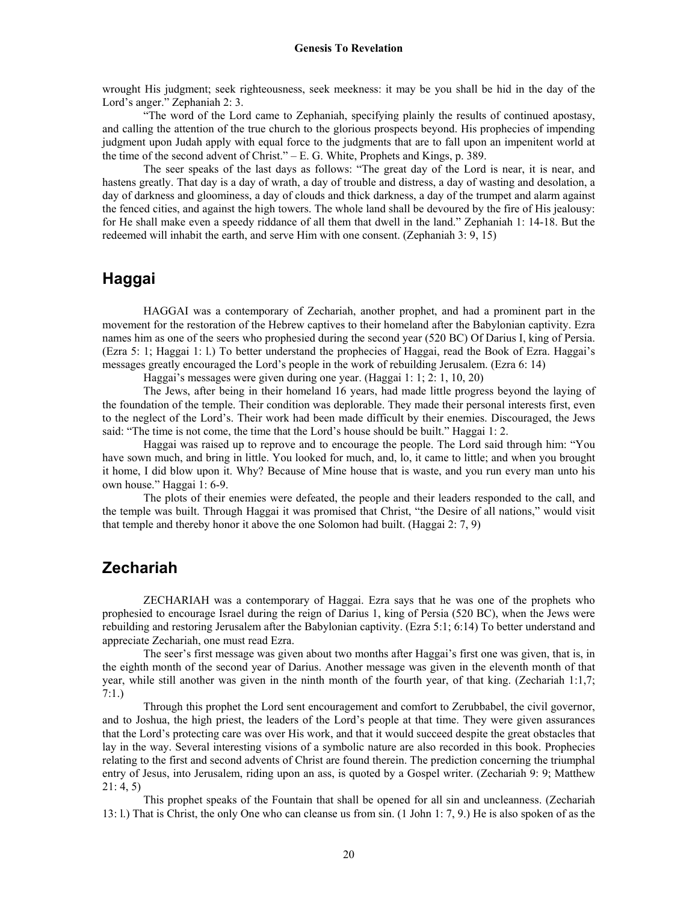wrought His judgment; seek righteousness, seek meekness: it may be you shall be hid in the day of the Lord's anger." Zephaniah 2: 3.

 "The word of the Lord came to Zephaniah, specifying plainly the results of continued apostasy, and calling the attention of the true church to the glorious prospects beyond. His prophecies of impending judgment upon Judah apply with equal force to the judgments that are to fall upon an impenitent world at the time of the second advent of Christ." – E. G. White, Prophets and Kings, p. 389.

 The seer speaks of the last days as follows: "The great day of the Lord is near, it is near, and hastens greatly. That day is a day of wrath, a day of trouble and distress, a day of wasting and desolation, a day of darkness and gloominess, a day of clouds and thick darkness, a day of the trumpet and alarm against the fenced cities, and against the high towers. The whole land shall be devoured by the fire of His jealousy: for He shall make even a speedy riddance of all them that dwell in the land." Zephaniah 1: 14-18. But the redeemed will inhabit the earth, and serve Him with one consent. (Zephaniah 3: 9, 15)

# **Haggai**

HAGGAI was a contemporary of Zechariah, another prophet, and had a prominent part in the movement for the restoration of the Hebrew captives to their homeland after the Babylonian captivity. Ezra names him as one of the seers who prophesied during the second year (520 BC) Of Darius I, king of Persia. (Ezra 5: 1; Haggai 1: l.) To better understand the prophecies of Haggai, read the Book of Ezra. Haggai's messages greatly encouraged the Lord's people in the work of rebuilding Jerusalem. (Ezra 6: 14)

Haggai's messages were given during one year. (Haggai 1: 1; 2: 1, 10, 20)

 The Jews, after being in their homeland 16 years, had made little progress beyond the laying of the foundation of the temple. Their condition was deplorable. They made their personal interests first, even to the neglect of the Lord's. Their work had been made difficult by their enemies. Discouraged, the Jews said: "The time is not come, the time that the Lord's house should be built." Haggai 1: 2.

 Haggai was raised up to reprove and to encourage the people. The Lord said through him: "You have sown much, and bring in little. You looked for much, and, lo, it came to little; and when you brought it home, I did blow upon it. Why? Because of Mine house that is waste, and you run every man unto his own house." Haggai 1: 6-9.

 The plots of their enemies were defeated, the people and their leaders responded to the call, and the temple was built. Through Haggai it was promised that Christ, "the Desire of all nations," would visit that temple and thereby honor it above the one Solomon had built. (Haggai 2: 7, 9)

### **Zechariah**

ZECHARIAH was a contemporary of Haggai. Ezra says that he was one of the prophets who prophesied to encourage Israel during the reign of Darius 1, king of Persia (520 BC), when the Jews were rebuilding and restoring Jerusalem after the Babylonian captivity. (Ezra 5:1; 6:14) To better understand and appreciate Zechariah, one must read Ezra.

 The seer's first message was given about two months after Haggai's first one was given, that is, in the eighth month of the second year of Darius. Another message was given in the eleventh month of that year, while still another was given in the ninth month of the fourth year, of that king. (Zechariah 1:1,7; 7:1.)

 Through this prophet the Lord sent encouragement and comfort to Zerubbabel, the civil governor, and to Joshua, the high priest, the leaders of the Lord's people at that time. They were given assurances that the Lord's protecting care was over His work, and that it would succeed despite the great obstacles that lay in the way. Several interesting visions of a symbolic nature are also recorded in this book. Prophecies relating to the first and second advents of Christ are found therein. The prediction concerning the triumphal entry of Jesus, into Jerusalem, riding upon an ass, is quoted by a Gospel writer. (Zechariah 9: 9; Matthew 21: 4, 5)

 This prophet speaks of the Fountain that shall be opened for all sin and uncleanness. (Zechariah 13: l.) That is Christ, the only One who can cleanse us from sin. (1 John 1: 7, 9.) He is also spoken of as the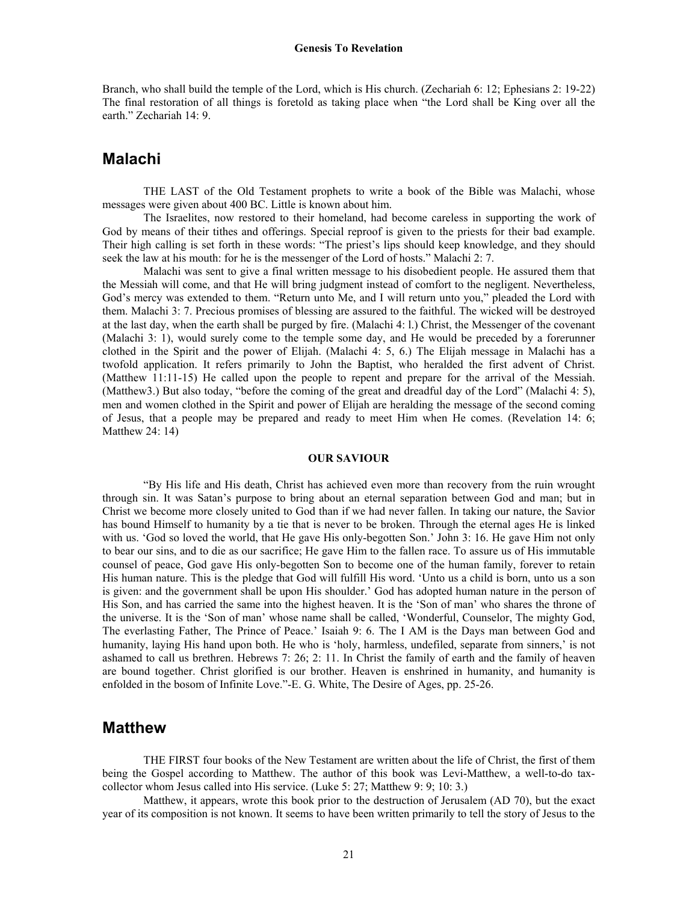Branch, who shall build the temple of the Lord, which is His church. (Zechariah 6: 12; Ephesians 2: 19-22) The final restoration of all things is foretold as taking place when "the Lord shall be King over all the earth." Zechariah 14: 9.

#### **Malachi**

THE LAST of the Old Testament prophets to write a book of the Bible was Malachi, whose messages were given about 400 BC. Little is known about him.

 The Israelites, now restored to their homeland, had become careless in supporting the work of God by means of their tithes and offerings. Special reproof is given to the priests for their bad example. Their high calling is set forth in these words: "The priest's lips should keep knowledge, and they should seek the law at his mouth: for he is the messenger of the Lord of hosts." Malachi 2: 7.

 Malachi was sent to give a final written message to his disobedient people. He assured them that the Messiah will come, and that He will bring judgment instead of comfort to the negligent. Nevertheless, God's mercy was extended to them. "Return unto Me, and I will return unto you," pleaded the Lord with them. Malachi 3: 7. Precious promises of blessing are assured to the faithful. The wicked will be destroyed at the last day, when the earth shall be purged by fire. (Malachi 4: l.) Christ, the Messenger of the covenant (Malachi 3: 1), would surely come to the temple some day, and He would be preceded by a forerunner clothed in the Spirit and the power of Elijah. (Malachi 4: 5, 6.) The Elijah message in Malachi has a twofold application. It refers primarily to John the Baptist, who heralded the first advent of Christ. (Matthew 11:11-15) He called upon the people to repent and prepare for the arrival of the Messiah. (Matthew3.) But also today, "before the coming of the great and dreadful day of the Lord" (Malachi 4: 5), men and women clothed in the Spirit and power of Elijah are heralding the message of the second coming of Jesus, that a people may be prepared and ready to meet Him when He comes. (Revelation 14: 6; Matthew 24: 14)

#### **OUR SAVIOUR**

 "By His life and His death, Christ has achieved even more than recovery from the ruin wrought through sin. It was Satan's purpose to bring about an eternal separation between God and man; but in Christ we become more closely united to God than if we had never fallen. In taking our nature, the Savior has bound Himself to humanity by a tie that is never to be broken. Through the eternal ages He is linked with us. 'God so loved the world, that He gave His only-begotten Son.' John 3: 16. He gave Him not only to bear our sins, and to die as our sacrifice; He gave Him to the fallen race. To assure us of His immutable counsel of peace, God gave His only-begotten Son to become one of the human family, forever to retain His human nature. This is the pledge that God will fulfill His word. 'Unto us a child is born, unto us a son is given: and the government shall be upon His shoulder.' God has adopted human nature in the person of His Son, and has carried the same into the highest heaven. It is the 'Son of man' who shares the throne of the universe. It is the 'Son of man' whose name shall be called, 'Wonderful, Counselor, The mighty God, The everlasting Father, The Prince of Peace.' Isaiah 9: 6. The I AM is the Days man between God and humanity, laying His hand upon both. He who is 'holy, harmless, undefiled, separate from sinners,' is not ashamed to call us brethren. Hebrews 7: 26; 2: 11. In Christ the family of earth and the family of heaven are bound together. Christ glorified is our brother. Heaven is enshrined in humanity, and humanity is enfolded in the bosom of Infinite Love."-E. G. White, The Desire of Ages, pp. 25-26.

# **Matthew**

THE FIRST four books of the New Testament are written about the life of Christ, the first of them being the Gospel according to Matthew. The author of this book was Levi-Matthew, a well-to-do taxcollector whom Jesus called into His service. (Luke 5: 27; Matthew 9: 9; 10: 3.)

 Matthew, it appears, wrote this book prior to the destruction of Jerusalem (AD 70), but the exact year of its composition is not known. It seems to have been written primarily to tell the story of Jesus to the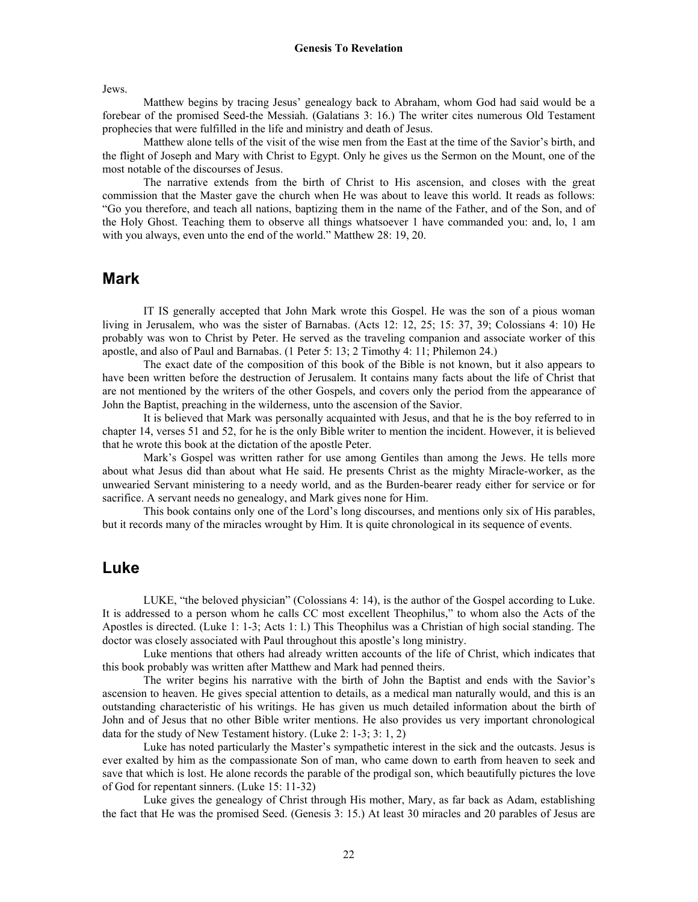Jews.

 Matthew begins by tracing Jesus' genealogy back to Abraham, whom God had said would be a forebear of the promised Seed-the Messiah. (Galatians 3: 16.) The writer cites numerous Old Testament prophecies that were fulfilled in the life and ministry and death of Jesus.

 Matthew alone tells of the visit of the wise men from the East at the time of the Savior's birth, and the flight of Joseph and Mary with Christ to Egypt. Only he gives us the Sermon on the Mount, one of the most notable of the discourses of Jesus.

 The narrative extends from the birth of Christ to His ascension, and closes with the great commission that the Master gave the church when He was about to leave this world. It reads as follows: "Go you therefore, and teach all nations, baptizing them in the name of the Father, and of the Son, and of the Holy Ghost. Teaching them to observe all things whatsoever 1 have commanded you: and, lo, 1 am with you always, even unto the end of the world." Matthew 28: 19, 20.

#### **Mark**

IT IS generally accepted that John Mark wrote this Gospel. He was the son of a pious woman living in Jerusalem, who was the sister of Barnabas. (Acts 12: 12, 25; 15: 37, 39; Colossians 4: 10) He probably was won to Christ by Peter. He served as the traveling companion and associate worker of this apostle, and also of Paul and Barnabas. (1 Peter 5: 13; 2 Timothy 4: 11; Philemon 24.)

 The exact date of the composition of this book of the Bible is not known, but it also appears to have been written before the destruction of Jerusalem. It contains many facts about the life of Christ that are not mentioned by the writers of the other Gospels, and covers only the period from the appearance of John the Baptist, preaching in the wilderness, unto the ascension of the Savior.

 It is believed that Mark was personally acquainted with Jesus, and that he is the boy referred to in chapter 14, verses 51 and 52, for he is the only Bible writer to mention the incident. However, it is believed that he wrote this book at the dictation of the apostle Peter.

 Mark's Gospel was written rather for use among Gentiles than among the Jews. He tells more about what Jesus did than about what He said. He presents Christ as the mighty Miracle-worker, as the unwearied Servant ministering to a needy world, and as the Burden-bearer ready either for service or for sacrifice. A servant needs no genealogy, and Mark gives none for Him.

 This book contains only one of the Lord's long discourses, and mentions only six of His parables, but it records many of the miracles wrought by Him. It is quite chronological in its sequence of events.

#### **Luke**

LUKE, "the beloved physician" (Colossians 4: 14), is the author of the Gospel according to Luke. It is addressed to a person whom he calls CC most excellent Theophilus," to whom also the Acts of the Apostles is directed. (Luke 1: 1-3; Acts 1: l.) This Theophilus was a Christian of high social standing. The doctor was closely associated with Paul throughout this apostle's long ministry.

 Luke mentions that others had already written accounts of the life of Christ, which indicates that this book probably was written after Matthew and Mark had penned theirs.

 The writer begins his narrative with the birth of John the Baptist and ends with the Savior's ascension to heaven. He gives special attention to details, as a medical man naturally would, and this is an outstanding characteristic of his writings. He has given us much detailed information about the birth of John and of Jesus that no other Bible writer mentions. He also provides us very important chronological data for the study of New Testament history. (Luke 2: 1-3; 3: 1, 2)

 Luke has noted particularly the Master's sympathetic interest in the sick and the outcasts. Jesus is ever exalted by him as the compassionate Son of man, who came down to earth from heaven to seek and save that which is lost. He alone records the parable of the prodigal son, which beautifully pictures the love of God for repentant sinners. (Luke 15: 11-32)

 Luke gives the genealogy of Christ through His mother, Mary, as far back as Adam, establishing the fact that He was the promised Seed. (Genesis 3: 15.) At least 30 miracles and 20 parables of Jesus are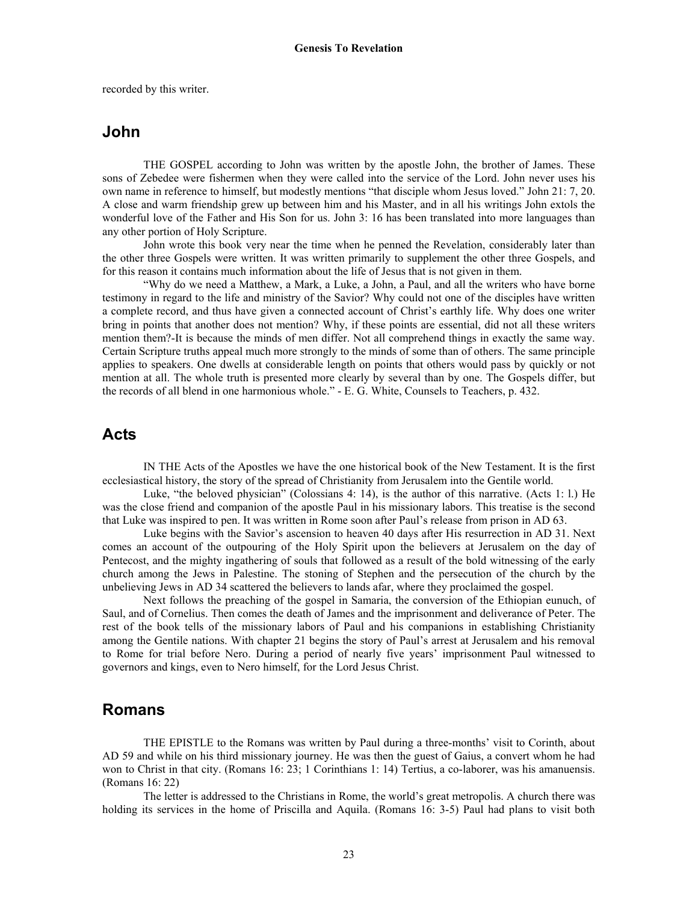recorded by this writer.

# **John**

THE GOSPEL according to John was written by the apostle John, the brother of James. These sons of Zebedee were fishermen when they were called into the service of the Lord. John never uses his own name in reference to himself, but modestly mentions "that disciple whom Jesus loved." John 21: 7, 20. A close and warm friendship grew up between him and his Master, and in all his writings John extols the wonderful love of the Father and His Son for us. John 3: 16 has been translated into more languages than any other portion of Holy Scripture.

 John wrote this book very near the time when he penned the Revelation, considerably later than the other three Gospels were written. It was written primarily to supplement the other three Gospels, and for this reason it contains much information about the life of Jesus that is not given in them.

 "Why do we need a Matthew, a Mark, a Luke, a John, a Paul, and all the writers who have borne testimony in regard to the life and ministry of the Savior? Why could not one of the disciples have written a complete record, and thus have given a connected account of Christ's earthly life. Why does one writer bring in points that another does not mention? Why, if these points are essential, did not all these writers mention them?-It is because the minds of men differ. Not all comprehend things in exactly the same way. Certain Scripture truths appeal much more strongly to the minds of some than of others. The same principle applies to speakers. One dwells at considerable length on points that others would pass by quickly or not mention at all. The whole truth is presented more clearly by several than by one. The Gospels differ, but the records of all blend in one harmonious whole." - E. G. White, Counsels to Teachers, p. 432.

# **Acts**

IN THE Acts of the Apostles we have the one historical book of the New Testament. It is the first ecclesiastical history, the story of the spread of Christianity from Jerusalem into the Gentile world.

 Luke, "the beloved physician" (Colossians 4: 14), is the author of this narrative. (Acts 1: l.) He was the close friend and companion of the apostle Paul in his missionary labors. This treatise is the second that Luke was inspired to pen. It was written in Rome soon after Paul's release from prison in AD 63.

 Luke begins with the Savior's ascension to heaven 40 days after His resurrection in AD 31. Next comes an account of the outpouring of the Holy Spirit upon the believers at Jerusalem on the day of Pentecost, and the mighty ingathering of souls that followed as a result of the bold witnessing of the early church among the Jews in Palestine. The stoning of Stephen and the persecution of the church by the unbelieving Jews in AD 34 scattered the believers to lands afar, where they proclaimed the gospel.

 Next follows the preaching of the gospel in Samaria, the conversion of the Ethiopian eunuch, of Saul, and of Cornelius. Then comes the death of James and the imprisonment and deliverance of Peter. The rest of the book tells of the missionary labors of Paul and his companions in establishing Christianity among the Gentile nations. With chapter 21 begins the story of Paul's arrest at Jerusalem and his removal to Rome for trial before Nero. During a period of nearly five years' imprisonment Paul witnessed to governors and kings, even to Nero himself, for the Lord Jesus Christ.

### **Romans**

THE EPISTLE to the Romans was written by Paul during a three-months' visit to Corinth, about AD 59 and while on his third missionary journey. He was then the guest of Gaius, a convert whom he had won to Christ in that city. (Romans 16: 23; 1 Corinthians 1: 14) Tertius, a co-laborer, was his amanuensis. (Romans 16: 22)

 The letter is addressed to the Christians in Rome, the world's great metropolis. A church there was holding its services in the home of Priscilla and Aquila. (Romans 16: 3-5) Paul had plans to visit both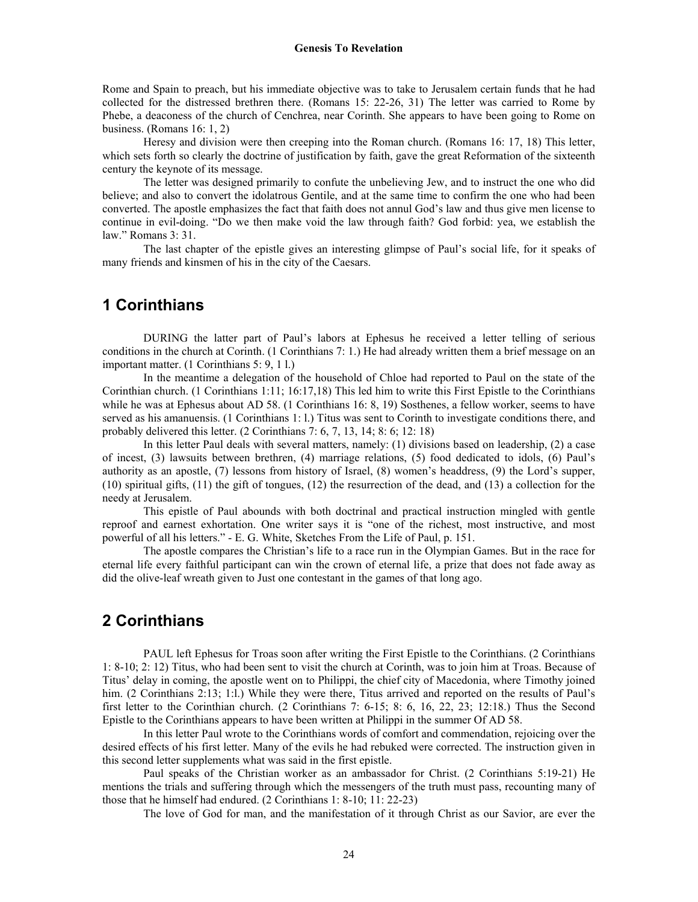Rome and Spain to preach, but his immediate objective was to take to Jerusalem certain funds that he had collected for the distressed brethren there. (Romans 15: 22-26, 31) The letter was carried to Rome by Phebe, a deaconess of the church of Cenchrea, near Corinth. She appears to have been going to Rome on business. (Romans 16: 1, 2)

 Heresy and division were then creeping into the Roman church. (Romans 16: 17, 18) This letter, which sets forth so clearly the doctrine of justification by faith, gave the great Reformation of the sixteenth century the keynote of its message.

 The letter was designed primarily to confute the unbelieving Jew, and to instruct the one who did believe; and also to convert the idolatrous Gentile, and at the same time to confirm the one who had been converted. The apostle emphasizes the fact that faith does not annul God's law and thus give men license to continue in evil-doing. "Do we then make void the law through faith? God forbid: yea, we establish the law." Romans 3: 31.

 The last chapter of the epistle gives an interesting glimpse of Paul's social life, for it speaks of many friends and kinsmen of his in the city of the Caesars.

## **1 Corinthians**

DURING the latter part of Paul's labors at Ephesus he received a letter telling of serious conditions in the church at Corinth. (1 Corinthians 7: 1.) He had already written them a brief message on an important matter. (1 Corinthians 5: 9, 1 l.)

 In the meantime a delegation of the household of Chloe had reported to Paul on the state of the Corinthian church. (1 Corinthians 1:11; 16:17,18) This led him to write this First Epistle to the Corinthians while he was at Ephesus about AD 58. (1 Corinthians 16: 8, 19) Sosthenes, a fellow worker, seems to have served as his amanuensis. (1 Corinthians 1: l.) Titus was sent to Corinth to investigate conditions there, and probably delivered this letter. (2 Corinthians 7: 6, 7, 13, 14; 8: 6; 12: 18)

 In this letter Paul deals with several matters, namely: (1) divisions based on leadership, (2) a case of incest, (3) lawsuits between brethren, (4) marriage relations, (5) food dedicated to idols, (6) Paul's authority as an apostle, (7) lessons from history of Israel, (8) women's headdress, (9) the Lord's supper, (10) spiritual gifts, (11) the gift of tongues, (12) the resurrection of the dead, and (13) a collection for the needy at Jerusalem.

 This epistle of Paul abounds with both doctrinal and practical instruction mingled with gentle reproof and earnest exhortation. One writer says it is "one of the richest, most instructive, and most powerful of all his letters." - E. G. White, Sketches From the Life of Paul, p. 151.

 The apostle compares the Christian's life to a race run in the Olympian Games. But in the race for eternal life every faithful participant can win the crown of eternal life, a prize that does not fade away as did the olive-leaf wreath given to Just one contestant in the games of that long ago.

## **2 Corinthians**

PAUL left Ephesus for Troas soon after writing the First Epistle to the Corinthians. (2 Corinthians 1: 8-10; 2: 12) Titus, who had been sent to visit the church at Corinth, was to join him at Troas. Because of Titus' delay in coming, the apostle went on to Philippi, the chief city of Macedonia, where Timothy joined him. (2 Corinthians 2:13; 1:l.) While they were there, Titus arrived and reported on the results of Paul's first letter to the Corinthian church. (2 Corinthians 7: 6-15; 8: 6, 16, 22, 23; 12:18.) Thus the Second Epistle to the Corinthians appears to have been written at Philippi in the summer Of AD 58.

 In this letter Paul wrote to the Corinthians words of comfort and commendation, rejoicing over the desired effects of his first letter. Many of the evils he had rebuked were corrected. The instruction given in this second letter supplements what was said in the first epistle.

 Paul speaks of the Christian worker as an ambassador for Christ. (2 Corinthians 5:19-21) He mentions the trials and suffering through which the messengers of the truth must pass, recounting many of those that he himself had endured. (2 Corinthians 1: 8-10; 11: 22-23)

The love of God for man, and the manifestation of it through Christ as our Savior, are ever the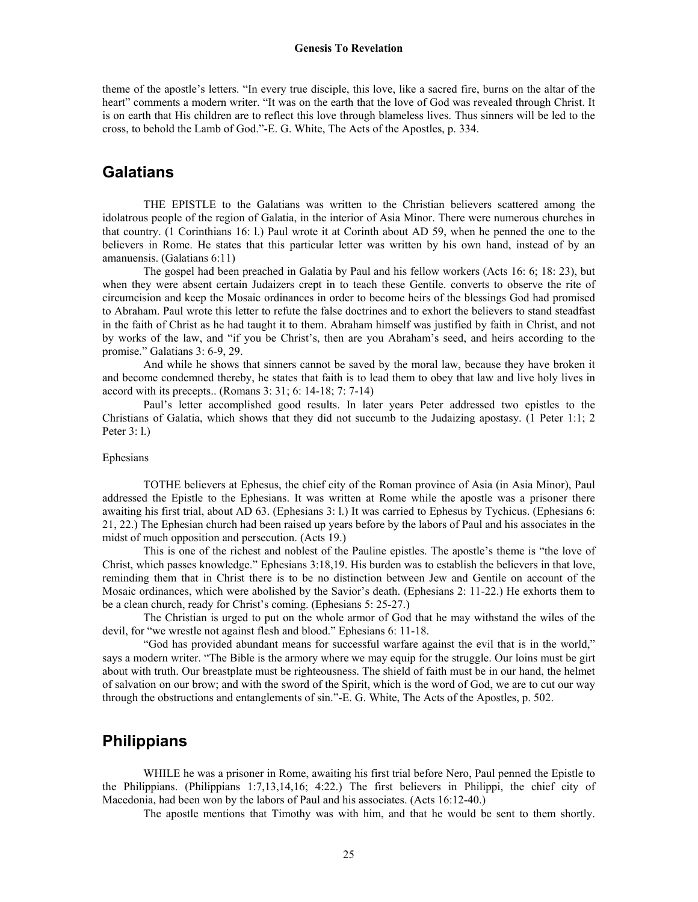theme of the apostle's letters. "In every true disciple, this love, like a sacred fire, burns on the altar of the heart" comments a modern writer. "It was on the earth that the love of God was revealed through Christ. It is on earth that His children are to reflect this love through blameless lives. Thus sinners will be led to the cross, to behold the Lamb of God."-E. G. White, The Acts of the Apostles, p. 334.

#### **Galatians**

THE EPISTLE to the Galatians was written to the Christian believers scattered among the idolatrous people of the region of Galatia, in the interior of Asia Minor. There were numerous churches in that country. (1 Corinthians 16: l.) Paul wrote it at Corinth about AD 59, when he penned the one to the believers in Rome. He states that this particular letter was written by his own hand, instead of by an amanuensis. (Galatians 6:11)

 The gospel had been preached in Galatia by Paul and his fellow workers (Acts 16: 6; 18: 23), but when they were absent certain Judaizers crept in to teach these Gentile. converts to observe the rite of circumcision and keep the Mosaic ordinances in order to become heirs of the blessings God had promised to Abraham. Paul wrote this letter to refute the false doctrines and to exhort the believers to stand steadfast in the faith of Christ as he had taught it to them. Abraham himself was justified by faith in Christ, and not by works of the law, and "if you be Christ's, then are you Abraham's seed, and heirs according to the promise." Galatians 3: 6-9, 29.

 And while he shows that sinners cannot be saved by the moral law, because they have broken it and become condemned thereby, he states that faith is to lead them to obey that law and live holy lives in accord with its precepts.. (Romans 3: 31; 6: 14-18; 7: 7-14)

 Paul's letter accomplished good results. In later years Peter addressed two epistles to the Christians of Galatia, which shows that they did not succumb to the Judaizing apostasy. (1 Peter 1:1; 2 Peter 3: l.)

#### Ephesians

TOTHE believers at Ephesus, the chief city of the Roman province of Asia (in Asia Minor), Paul addressed the Epistle to the Ephesians. It was written at Rome while the apostle was a prisoner there awaiting his first trial, about AD 63. (Ephesians 3: l.) It was carried to Ephesus by Tychicus. (Ephesians 6: 21, 22.) The Ephesian church had been raised up years before by the labors of Paul and his associates in the midst of much opposition and persecution. (Acts 19.)

 This is one of the richest and noblest of the Pauline epistles. The apostle's theme is "the love of Christ, which passes knowledge." Ephesians 3:18,19. His burden was to establish the believers in that love, reminding them that in Christ there is to be no distinction between Jew and Gentile on account of the Mosaic ordinances, which were abolished by the Savior's death. (Ephesians 2: 11-22.) He exhorts them to be a clean church, ready for Christ's coming. (Ephesians 5: 25-27.)

 The Christian is urged to put on the whole armor of God that he may withstand the wiles of the devil, for "we wrestle not against flesh and blood." Ephesians 6: 11-18.

 "God has provided abundant means for successful warfare against the evil that is in the world," says a modern writer. "The Bible is the armory where we may equip for the struggle. Our loins must be girt about with truth. Our breastplate must be righteousness. The shield of faith must be in our hand, the helmet of salvation on our brow; and with the sword of the Spirit, which is the word of God, we are to cut our way through the obstructions and entanglements of sin."-E. G. White, The Acts of the Apostles, p. 502.

#### **Philippians**

WHILE he was a prisoner in Rome, awaiting his first trial before Nero, Paul penned the Epistle to the Philippians. (Philippians 1:7,13,14,16; 4:22.) The first believers in Philippi, the chief city of Macedonia, had been won by the labors of Paul and his associates. (Acts 16:12-40.)

The apostle mentions that Timothy was with him, and that he would be sent to them shortly.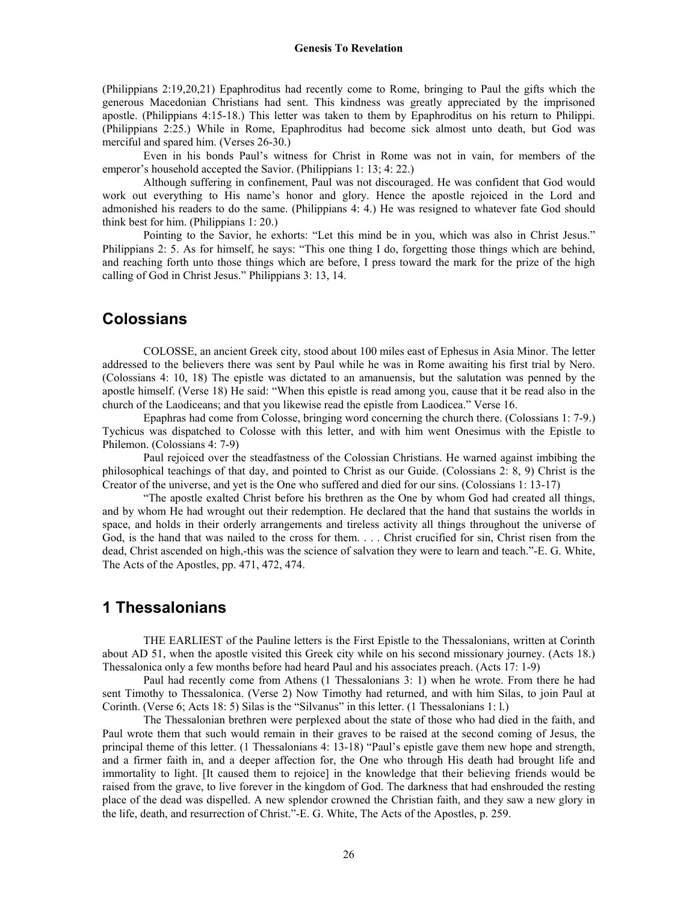(Philippians 2:19,20,21) Epaphroditus had recently come to Rome, bringing to Paul the gifts which the generous Macedonian Christians had sent. This kindness was greatly appreciated by the imprisoned apostle. (Philippians 4:15-18.) This letter was taken to them by Epaphroditus on his return to Philippi. (Philippians 2:25.) While in Rome, Epaphroditus had become sick almost unto death, but God was merciful and spared him. (Verses 26-30.)

 Even in his bonds Paul's witness for Christ in Rome was not in vain, for members of the emperor's household accepted the Savior. (Philippians 1: 13; 4: 22.)

 Although suffering in confinement, Paul was not discouraged. He was confident that God would work out everything to His name's honor and glory. Hence the apostle rejoiced in the Lord and admonished his readers to do the same. (Philippians 4: 4.) He was resigned to whatever fate God should think best for him. (Philippians 1: 20.)

 Pointing to the Savior, he exhorts: "Let this mind be in you, which was also in Christ Jesus." Philippians 2: 5. As for himself, he says: "This one thing I do, forgetting those things which are behind, and reaching forth unto those things which are before, I press toward the mark for the prize of the high calling of God in Christ Jesus." Philippians 3: 13, 14.

## **Colossians**

COLOSSE, an ancient Greek city, stood about 100 miles east of Ephesus in Asia Minor. The letter addressed to the believers there was sent by Paul while he was in Rome awaiting his first trial by Nero. (Colossians 4: 10, 18) The epistle was dictated to an amanuensis, but the salutation was penned by the apostle himself. (Verse 18) He said: "When this epistle is read among you, cause that it be read also in the church of the Laodiceans; and that you likewise read the epistle from Laodicea." Verse 16.

 Epaphras had come from Colosse, bringing word concerning the church there. (Colossians 1: 7-9.) Tychicus was dispatched to Colosse with this letter, and with him went Onesimus with the Epistle to Philemon. (Colossians 4: 7-9)

 Paul rejoiced over the steadfastness of the Colossian Christians. He warned against imbibing the philosophical teachings of that day, and pointed to Christ as our Guide. (Colossians 2: 8, 9) Christ is the Creator of the universe, and yet is the One who suffered and died for our sins. (Colossians 1: 13-17)

 "The apostle exalted Christ before his brethren as the One by whom God had created all things, and by whom He had wrought out their redemption. He declared that the hand that sustains the worlds in space, and holds in their orderly arrangements and tireless activity all things throughout the universe of God, is the hand that was nailed to the cross for them. . . . Christ crucified for sin, Christ risen from the dead, Christ ascended on high,-this was the science of salvation they were to learn and teach."-E. G. White, The Acts of the Apostles, pp. 471, 472, 474.

#### **1 Thessalonians**

THE EARLIEST of the Pauline letters is the First Epistle to the Thessalonians, written at Corinth about AD 51, when the apostle visited this Greek city while on his second missionary journey. (Acts 18.) Thessalonica only a few months before had heard Paul and his associates preach. (Acts 17: 1-9)

 Paul had recently come from Athens (1 Thessalonians 3: 1) when he wrote. From there he had sent Timothy to Thessalonica. (Verse 2) Now Timothy had returned, and with him Silas, to join Paul at Corinth. (Verse 6; Acts 18: 5) Silas is the "Silvanus" in this letter. (1 Thessalonians 1: l.)

 The Thessalonian brethren were perplexed about the state of those who had died in the faith, and Paul wrote them that such would remain in their graves to be raised at the second coming of Jesus, the principal theme of this letter. (1 Thessalonians 4: 13-18) "Paul's epistle gave them new hope and strength, and a firmer faith in, and a deeper affection for, the One who through His death had brought life and immortality to light. [It caused them to rejoice] in the knowledge that their believing friends would be raised from the grave, to live forever in the kingdom of God. The darkness that had enshrouded the resting place of the dead was dispelled. A new splendor crowned the Christian faith, and they saw a new glory in the life, death, and resurrection of Christ."-E. G. White, The Acts of the Apostles, p. 259.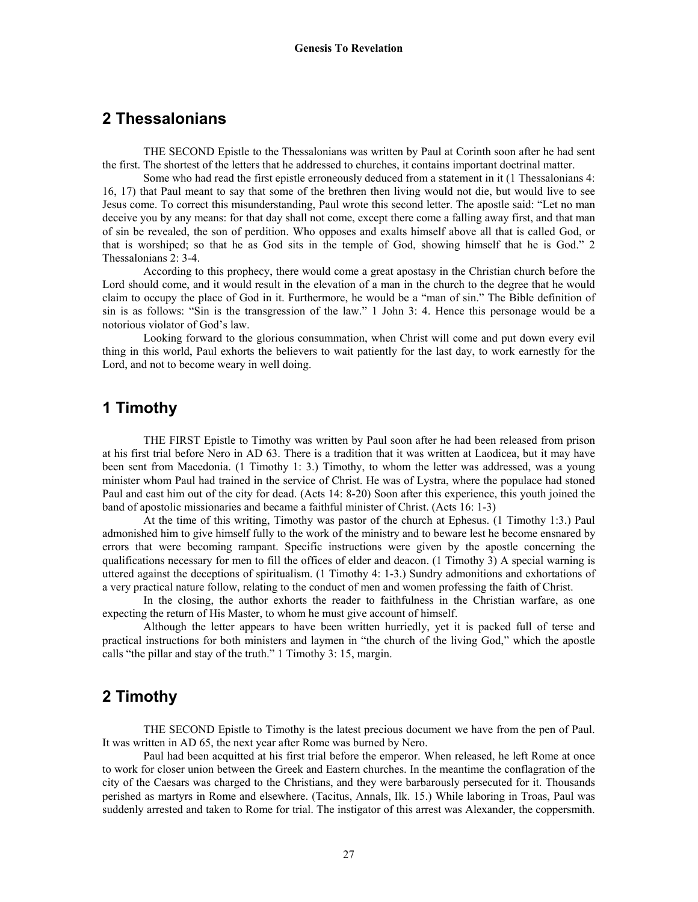#### **2 Thessalonians**

THE SECOND Epistle to the Thessalonians was written by Paul at Corinth soon after he had sent the first. The shortest of the letters that he addressed to churches, it contains important doctrinal matter.

 Some who had read the first epistle erroneously deduced from a statement in it (1 Thessalonians 4: 16, 17) that Paul meant to say that some of the brethren then living would not die, but would live to see Jesus come. To correct this misunderstanding, Paul wrote this second letter. The apostle said: "Let no man deceive you by any means: for that day shall not come, except there come a falling away first, and that man of sin be revealed, the son of perdition. Who opposes and exalts himself above all that is called God, or that is worshiped; so that he as God sits in the temple of God, showing himself that he is God." 2 Thessalonians 2: 3-4.

 According to this prophecy, there would come a great apostasy in the Christian church before the Lord should come, and it would result in the elevation of a man in the church to the degree that he would claim to occupy the place of God in it. Furthermore, he would be a "man of sin." The Bible definition of sin is as follows: "Sin is the transgression of the law." 1 John 3: 4. Hence this personage would be a notorious violator of God's law.

 Looking forward to the glorious consummation, when Christ will come and put down every evil thing in this world, Paul exhorts the believers to wait patiently for the last day, to work earnestly for the Lord, and not to become weary in well doing.

# **1 Timothy**

THE FIRST Epistle to Timothy was written by Paul soon after he had been released from prison at his first trial before Nero in AD 63. There is a tradition that it was written at Laodicea, but it may have been sent from Macedonia. (1 Timothy 1: 3.) Timothy, to whom the letter was addressed, was a young minister whom Paul had trained in the service of Christ. He was of Lystra, where the populace had stoned Paul and cast him out of the city for dead. (Acts 14: 8-20) Soon after this experience, this youth joined the band of apostolic missionaries and became a faithful minister of Christ. (Acts 16: 1-3)

 At the time of this writing, Timothy was pastor of the church at Ephesus. (1 Timothy 1:3.) Paul admonished him to give himself fully to the work of the ministry and to beware lest he become ensnared by errors that were becoming rampant. Specific instructions were given by the apostle concerning the qualifications necessary for men to fill the offices of elder and deacon. (1 Timothy 3) A special warning is uttered against the deceptions of spiritualism. (1 Timothy 4: 1-3.) Sundry admonitions and exhortations of a very practical nature follow, relating to the conduct of men and women professing the faith of Christ.

 In the closing, the author exhorts the reader to faithfulness in the Christian warfare, as one expecting the return of His Master, to whom he must give account of himself.

 Although the letter appears to have been written hurriedly, yet it is packed full of terse and practical instructions for both ministers and laymen in "the church of the living God," which the apostle calls "the pillar and stay of the truth." 1 Timothy 3: 15, margin.

# **2 Timothy**

THE SECOND Epistle to Timothy is the latest precious document we have from the pen of Paul. It was written in AD 65, the next year after Rome was burned by Nero.

 Paul had been acquitted at his first trial before the emperor. When released, he left Rome at once to work for closer union between the Greek and Eastern churches. In the meantime the conflagration of the city of the Caesars was charged to the Christians, and they were barbarously persecuted for it. Thousands perished as martyrs in Rome and elsewhere. (Tacitus, Annals, Ilk. 15.) While laboring in Troas, Paul was suddenly arrested and taken to Rome for trial. The instigator of this arrest was Alexander, the coppersmith.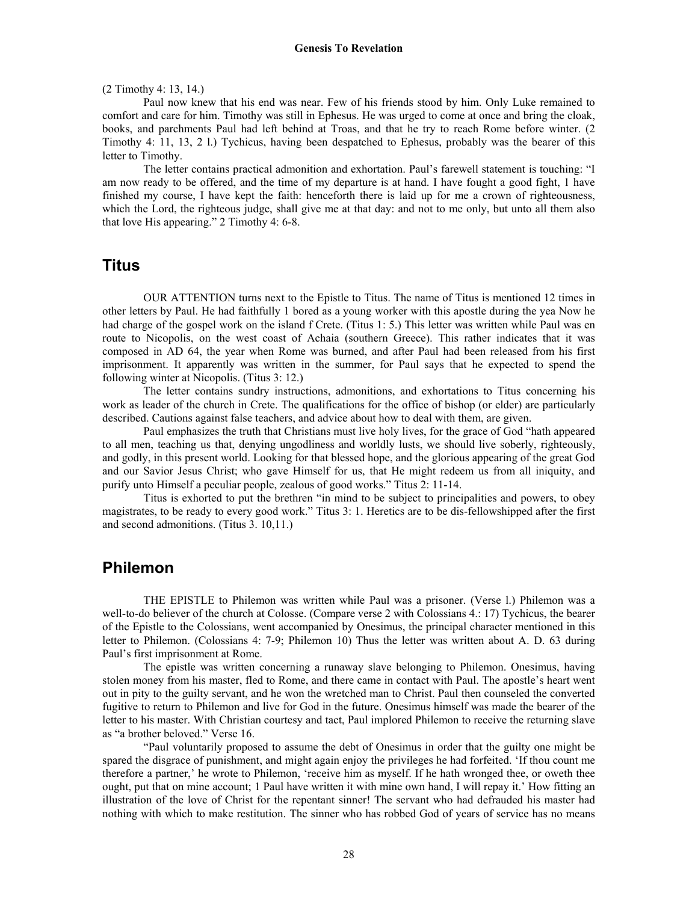#### (2 Timothy 4: 13, 14.)

 Paul now knew that his end was near. Few of his friends stood by him. Only Luke remained to comfort and care for him. Timothy was still in Ephesus. He was urged to come at once and bring the cloak, books, and parchments Paul had left behind at Troas, and that he try to reach Rome before winter. (2 Timothy 4: 11, 13, 2 l.) Tychicus, having been despatched to Ephesus, probably was the bearer of this letter to Timothy.

 The letter contains practical admonition and exhortation. Paul's farewell statement is touching: "I am now ready to be offered, and the time of my departure is at hand. I have fought a good fight, 1 have finished my course, I have kept the faith: henceforth there is laid up for me a crown of righteousness, which the Lord, the righteous judge, shall give me at that day: and not to me only, but unto all them also that love His appearing." 2 Timothy 4: 6-8.

#### **Titus**

OUR ATTENTION turns next to the Epistle to Titus. The name of Titus is mentioned 12 times in other letters by Paul. He had faithfully 1 bored as a young worker with this apostle during the yea Now he had charge of the gospel work on the island f Crete. (Titus 1: 5.) This letter was written while Paul was en route to Nicopolis, on the west coast of Achaia (southern Greece). This rather indicates that it was composed in AD 64, the year when Rome was burned, and after Paul had been released from his first imprisonment. It apparently was written in the summer, for Paul says that he expected to spend the following winter at Nicopolis. (Titus 3: 12.)

 The letter contains sundry instructions, admonitions, and exhortations to Titus concerning his work as leader of the church in Crete. The qualifications for the office of bishop (or elder) are particularly described. Cautions against false teachers, and advice about how to deal with them, are given.

 Paul emphasizes the truth that Christians must live holy lives, for the grace of God "hath appeared to all men, teaching us that, denying ungodliness and worldly lusts, we should live soberly, righteously, and godly, in this present world. Looking for that blessed hope, and the glorious appearing of the great God and our Savior Jesus Christ; who gave Himself for us, that He might redeem us from all iniquity, and purify unto Himself a peculiar people, zealous of good works." Titus 2: 11-14.

 Titus is exhorted to put the brethren "in mind to be subject to principalities and powers, to obey magistrates, to be ready to every good work." Titus 3: 1. Heretics are to be dis-fellowshipped after the first and second admonitions. (Titus 3. 10,11.)

#### **Philemon**

THE EPISTLE to Philemon was written while Paul was a prisoner. (Verse l.) Philemon was a well-to-do believer of the church at Colosse. (Compare verse 2 with Colossians 4.: 17) Tychicus, the bearer of the Epistle to the Colossians, went accompanied by Onesimus, the principal character mentioned in this letter to Philemon. (Colossians 4: 7-9; Philemon 10) Thus the letter was written about A. D. 63 during Paul's first imprisonment at Rome.

 The epistle was written concerning a runaway slave belonging to Philemon. Onesimus, having stolen money from his master, fled to Rome, and there came in contact with Paul. The apostle's heart went out in pity to the guilty servant, and he won the wretched man to Christ. Paul then counseled the converted fugitive to return to Philemon and live for God in the future. Onesimus himself was made the bearer of the letter to his master. With Christian courtesy and tact, Paul implored Philemon to receive the returning slave as "a brother beloved." Verse 16.

 "Paul voluntarily proposed to assume the debt of Onesimus in order that the guilty one might be spared the disgrace of punishment, and might again enjoy the privileges he had forfeited. 'If thou count me therefore a partner,' he wrote to Philemon, 'receive him as myself. If he hath wronged thee, or oweth thee ought, put that on mine account; 1 Paul have written it with mine own hand, I will repay it.' How fitting an illustration of the love of Christ for the repentant sinner! The servant who had defrauded his master had nothing with which to make restitution. The sinner who has robbed God of years of service has no means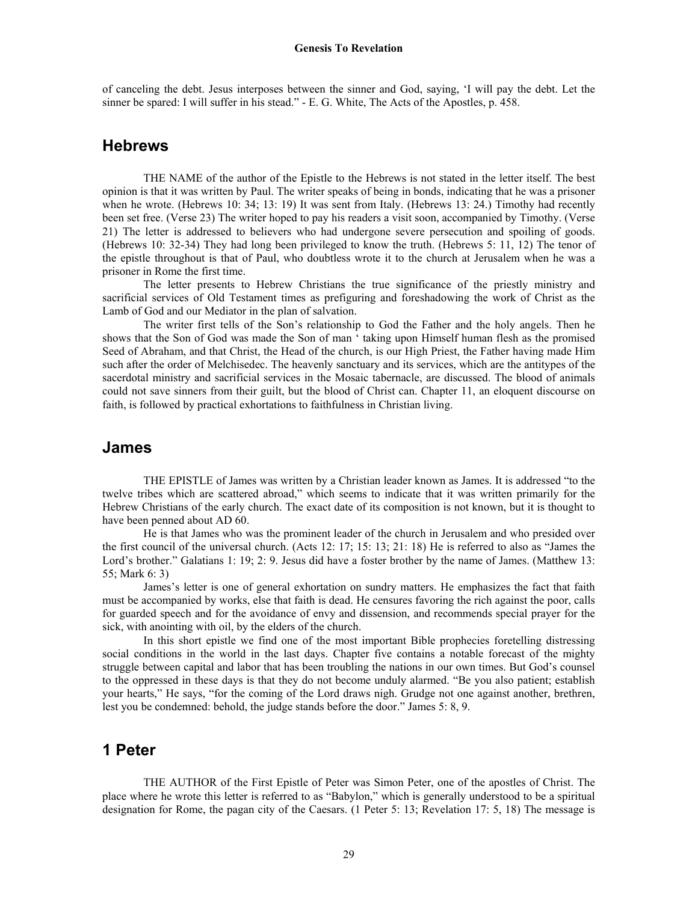of canceling the debt. Jesus interposes between the sinner and God, saying, 'I will pay the debt. Let the sinner be spared: I will suffer in his stead." - E. G. White, The Acts of the Apostles, p. 458.

#### **Hebrews**

THE NAME of the author of the Epistle to the Hebrews is not stated in the letter itself. The best opinion is that it was written by Paul. The writer speaks of being in bonds, indicating that he was a prisoner when he wrote. (Hebrews 10: 34; 13: 19) It was sent from Italy. (Hebrews 13: 24.) Timothy had recently been set free. (Verse 23) The writer hoped to pay his readers a visit soon, accompanied by Timothy. (Verse 21) The letter is addressed to believers who had undergone severe persecution and spoiling of goods. (Hebrews 10: 32-34) They had long been privileged to know the truth. (Hebrews 5: 11, 12) The tenor of the epistle throughout is that of Paul, who doubtless wrote it to the church at Jerusalem when he was a prisoner in Rome the first time.

 The letter presents to Hebrew Christians the true significance of the priestly ministry and sacrificial services of Old Testament times as prefiguring and foreshadowing the work of Christ as the Lamb of God and our Mediator in the plan of salvation.

 The writer first tells of the Son's relationship to God the Father and the holy angels. Then he shows that the Son of God was made the Son of man ' taking upon Himself human flesh as the promised Seed of Abraham, and that Christ, the Head of the church, is our High Priest, the Father having made Him such after the order of Melchisedec. The heavenly sanctuary and its services, which are the antitypes of the sacerdotal ministry and sacrificial services in the Mosaic tabernacle, are discussed. The blood of animals could not save sinners from their guilt, but the blood of Christ can. Chapter 11, an eloquent discourse on faith, is followed by practical exhortations to faithfulness in Christian living.

#### **James**

THE EPISTLE of James was written by a Christian leader known as James. It is addressed "to the twelve tribes which are scattered abroad," which seems to indicate that it was written primarily for the Hebrew Christians of the early church. The exact date of its composition is not known, but it is thought to have been penned about AD 60.

 He is that James who was the prominent leader of the church in Jerusalem and who presided over the first council of the universal church. (Acts 12: 17; 15: 13; 21: 18) He is referred to also as "James the Lord's brother." Galatians 1: 19; 2: 9. Jesus did have a foster brother by the name of James. (Matthew 13: 55; Mark 6: 3)

 James's letter is one of general exhortation on sundry matters. He emphasizes the fact that faith must be accompanied by works, else that faith is dead. He censures favoring the rich against the poor, calls for guarded speech and for the avoidance of envy and dissension, and recommends special prayer for the sick, with anointing with oil, by the elders of the church.

 In this short epistle we find one of the most important Bible prophecies foretelling distressing social conditions in the world in the last days. Chapter five contains a notable forecast of the mighty struggle between capital and labor that has been troubling the nations in our own times. But God's counsel to the oppressed in these days is that they do not become unduly alarmed. "Be you also patient; establish your hearts," He says, "for the coming of the Lord draws nigh. Grudge not one against another, brethren, lest you be condemned: behold, the judge stands before the door." James 5: 8, 9.

#### **1 Peter**

THE AUTHOR of the First Epistle of Peter was Simon Peter, one of the apostles of Christ. The place where he wrote this letter is referred to as "Babylon," which is generally understood to be a spiritual designation for Rome, the pagan city of the Caesars. (1 Peter 5: 13; Revelation 17: 5, 18) The message is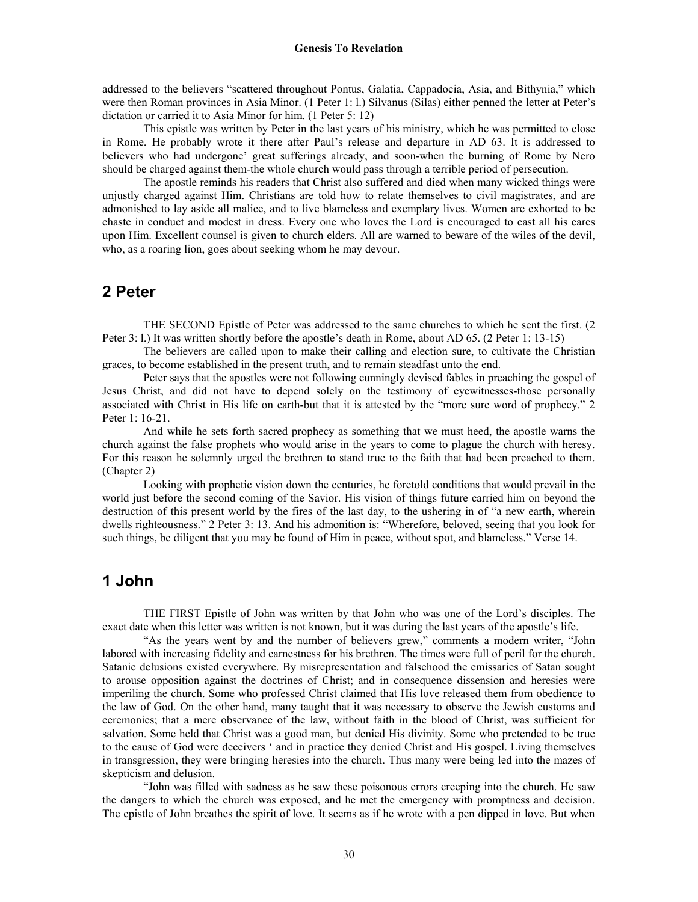addressed to the believers "scattered throughout Pontus, Galatia, Cappadocia, Asia, and Bithynia," which were then Roman provinces in Asia Minor. (1 Peter 1: l.) Silvanus (Silas) either penned the letter at Peter's dictation or carried it to Asia Minor for him. (1 Peter 5: 12)

 This epistle was written by Peter in the last years of his ministry, which he was permitted to close in Rome. He probably wrote it there after Paul's release and departure in AD 63. It is addressed to believers who had undergone' great sufferings already, and soon-when the burning of Rome by Nero should be charged against them-the whole church would pass through a terrible period of persecution.

 The apostle reminds his readers that Christ also suffered and died when many wicked things were unjustly charged against Him. Christians are told how to relate themselves to civil magistrates, and are admonished to lay aside all malice, and to live blameless and exemplary lives. Women are exhorted to be chaste in conduct and modest in dress. Every one who loves the Lord is encouraged to cast all his cares upon Him. Excellent counsel is given to church elders. All are warned to beware of the wiles of the devil, who, as a roaring lion, goes about seeking whom he may devour.

#### **2 Peter**

THE SECOND Epistle of Peter was addressed to the same churches to which he sent the first. (2 Peter 3: l.) It was written shortly before the apostle's death in Rome, about AD 65. (2 Peter 1: 13-15)

 The believers are called upon to make their calling and election sure, to cultivate the Christian graces, to become established in the present truth, and to remain steadfast unto the end.

 Peter says that the apostles were not following cunningly devised fables in preaching the gospel of Jesus Christ, and did not have to depend solely on the testimony of eyewitnesses-those personally associated with Christ in His life on earth-but that it is attested by the "more sure word of prophecy." 2 Peter 1: 16-21.

 And while he sets forth sacred prophecy as something that we must heed, the apostle warns the church against the false prophets who would arise in the years to come to plague the church with heresy. For this reason he solemnly urged the brethren to stand true to the faith that had been preached to them. (Chapter 2)

 Looking with prophetic vision down the centuries, he foretold conditions that would prevail in the world just before the second coming of the Savior. His vision of things future carried him on beyond the destruction of this present world by the fires of the last day, to the ushering in of "a new earth, wherein dwells righteousness." 2 Peter 3: 13. And his admonition is: "Wherefore, beloved, seeing that you look for such things, be diligent that you may be found of Him in peace, without spot, and blameless." Verse 14.

## **1 John**

THE FIRST Epistle of John was written by that John who was one of the Lord's disciples. The exact date when this letter was written is not known, but it was during the last years of the apostle's life.

 "As the years went by and the number of believers grew," comments a modern writer, "John labored with increasing fidelity and earnestness for his brethren. The times were full of peril for the church. Satanic delusions existed everywhere. By misrepresentation and falsehood the emissaries of Satan sought to arouse opposition against the doctrines of Christ; and in consequence dissension and heresies were imperiling the church. Some who professed Christ claimed that His love released them from obedience to the law of God. On the other hand, many taught that it was necessary to observe the Jewish customs and ceremonies; that a mere observance of the law, without faith in the blood of Christ, was sufficient for salvation. Some held that Christ was a good man, but denied His divinity. Some who pretended to be true to the cause of God were deceivers ' and in practice they denied Christ and His gospel. Living themselves in transgression, they were bringing heresies into the church. Thus many were being led into the mazes of skepticism and delusion.

 "John was filled with sadness as he saw these poisonous errors creeping into the church. He saw the dangers to which the church was exposed, and he met the emergency with promptness and decision. The epistle of John breathes the spirit of love. It seems as if he wrote with a pen dipped in love. But when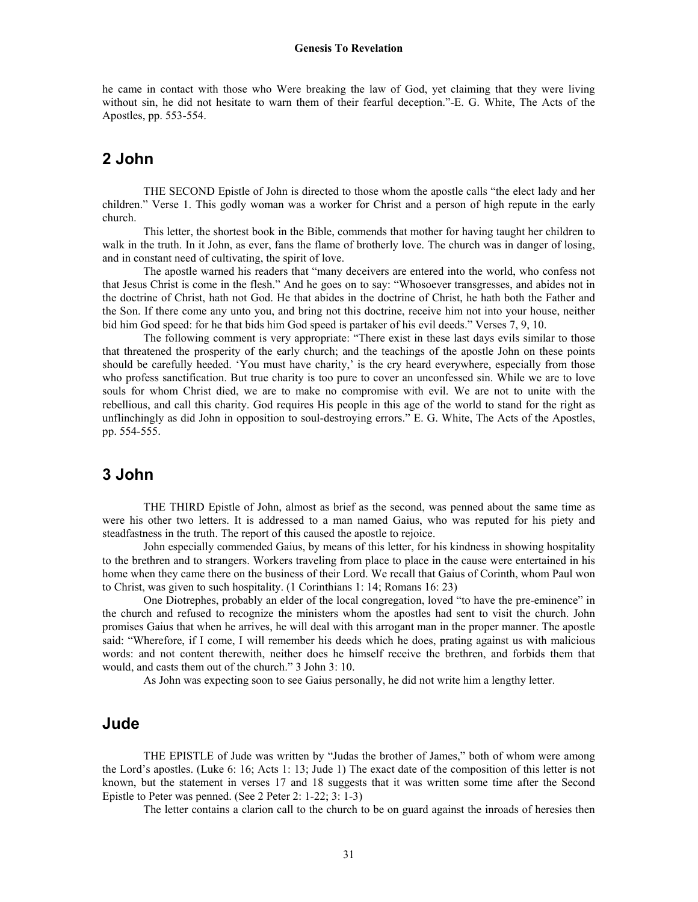he came in contact with those who Were breaking the law of God, yet claiming that they were living without sin, he did not hesitate to warn them of their fearful deception."-E. G. White, The Acts of the Apostles, pp. 553-554.

# **2 John**

THE SECOND Epistle of John is directed to those whom the apostle calls "the elect lady and her children." Verse 1. This godly woman was a worker for Christ and a person of high repute in the early church.

 This letter, the shortest book in the Bible, commends that mother for having taught her children to walk in the truth. In it John, as ever, fans the flame of brotherly love. The church was in danger of losing, and in constant need of cultivating, the spirit of love.

 The apostle warned his readers that "many deceivers are entered into the world, who confess not that Jesus Christ is come in the flesh." And he goes on to say: "Whosoever transgresses, and abides not in the doctrine of Christ, hath not God. He that abides in the doctrine of Christ, he hath both the Father and the Son. If there come any unto you, and bring not this doctrine, receive him not into your house, neither bid him God speed: for he that bids him God speed is partaker of his evil deeds." Verses 7, 9, 10.

 The following comment is very appropriate: "There exist in these last days evils similar to those that threatened the prosperity of the early church; and the teachings of the apostle John on these points should be carefully heeded. 'You must have charity,' is the cry heard everywhere, especially from those who profess sanctification. But true charity is too pure to cover an unconfessed sin. While we are to love souls for whom Christ died, we are to make no compromise with evil. We are not to unite with the rebellious, and call this charity. God requires His people in this age of the world to stand for the right as unflinchingly as did John in opposition to soul-destroying errors." E. G. White, The Acts of the Apostles, pp. 554-555.

# **3 John**

THE THIRD Epistle of John, almost as brief as the second, was penned about the same time as were his other two letters. It is addressed to a man named Gaius, who was reputed for his piety and steadfastness in the truth. The report of this caused the apostle to rejoice.

 John especially commended Gaius, by means of this letter, for his kindness in showing hospitality to the brethren and to strangers. Workers traveling from place to place in the cause were entertained in his home when they came there on the business of their Lord. We recall that Gaius of Corinth, whom Paul won to Christ, was given to such hospitality. (1 Corinthians 1: 14; Romans 16: 23)

 One Diotrephes, probably an elder of the local congregation, loved "to have the pre-eminence" in the church and refused to recognize the ministers whom the apostles had sent to visit the church. John promises Gaius that when he arrives, he will deal with this arrogant man in the proper manner. The apostle said: "Wherefore, if I come, I will remember his deeds which he does, prating against us with malicious words: and not content therewith, neither does he himself receive the brethren, and forbids them that would, and casts them out of the church." 3 John 3: 10.

As John was expecting soon to see Gaius personally, he did not write him a lengthy letter.

### **Jude**

THE EPISTLE of Jude was written by "Judas the brother of James," both of whom were among the Lord's apostles. (Luke 6: 16; Acts 1: 13; Jude 1) The exact date of the composition of this letter is not known, but the statement in verses 17 and 18 suggests that it was written some time after the Second Epistle to Peter was penned. (See 2 Peter 2: 1-22; 3: 1-3)

The letter contains a clarion call to the church to be on guard against the inroads of heresies then